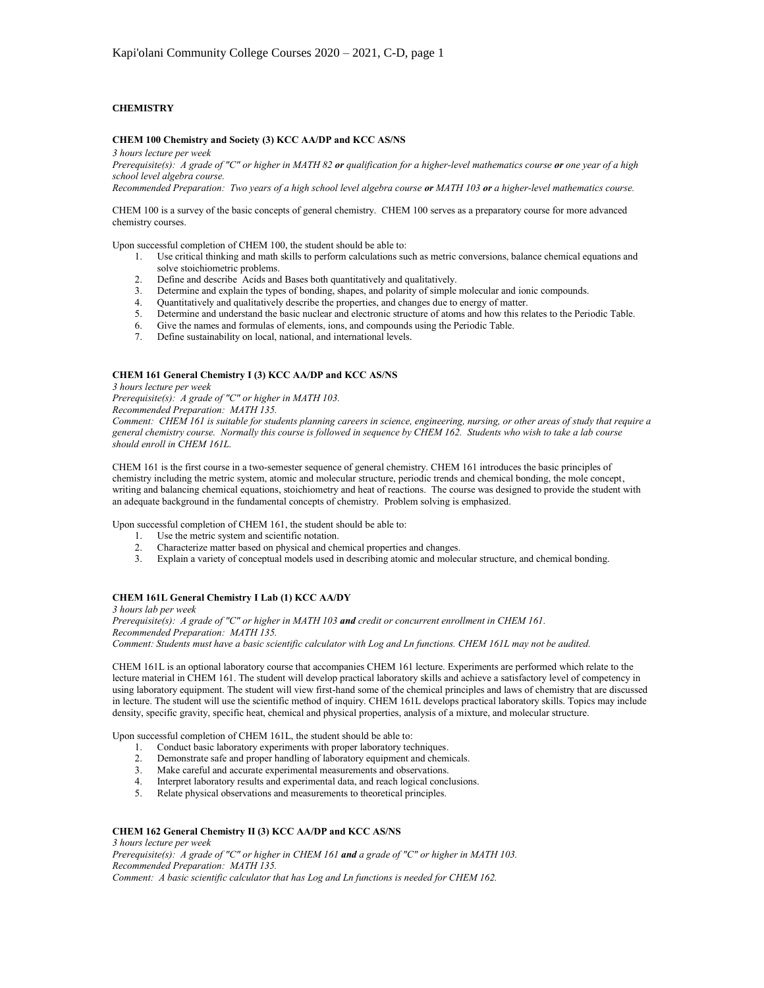# **CHEMISTRY**

### **CHEM 100 Chemistry and Society (3) KCC AA/DP and KCC AS/NS**

*3 hours lecture per week*

*Prerequisite(s): A grade of "C" or higher in MATH 82 or qualification for a higher-level mathematics course or one year of a high school level algebra course.*

*Recommended Preparation: Two years of a high school level algebra course or MATH 103 or a higher-level mathematics course.*

CHEM 100 is a survey of the basic concepts of general chemistry. CHEM 100 serves as a preparatory course for more advanced chemistry courses.

Upon successful completion of CHEM 100, the student should be able to:

- 1. Use critical thinking and math skills to perform calculations such as metric conversions, balance chemical equations and solve stoichiometric problems.
- 2. Define and describe Acids and Bases both quantitatively and qualitatively.
- 3. Determine and explain the types of bonding, shapes, and polarity of simple molecular and ionic compounds.
- 4. Quantitatively and qualitatively describe the properties, and changes due to energy of matter.
- 5. Determine and understand the basic nuclear and electronic structure of atoms and how this relates to the Periodic Table.
- 6. Give the names and formulas of elements, ions, and compounds using the Periodic Table.
- 7. Define sustainability on local, national, and international levels.

## **CHEM 161 General Chemistry I (3) KCC AA/DP and KCC AS/NS**

*3 hours lecture per week*

*Prerequisite(s): A grade of "C" or higher in MATH 103.*

*Recommended Preparation: MATH 135.*

*Comment: CHEM 161 is suitable for students planning careers in science, engineering, nursing, or other areas of study that require a general chemistry course. Normally this course is followed in sequence by CHEM 162. Students who wish to take a lab course should enroll in CHEM 161L.*

CHEM 161 is the first course in a two-semester sequence of general chemistry. CHEM 161 introduces the basic principles of chemistry including the metric system, atomic and molecular structure, periodic trends and chemical bonding, the mole concept, writing and balancing chemical equations, stoichiometry and heat of reactions. The course was designed to provide the student with an adequate background in the fundamental concepts of chemistry. Problem solving is emphasized.

Upon successful completion of CHEM 161, the student should be able to:

- 
- 1. Use the metric system and scientific notation.<br>2. Characterize matter based on physical and chemical properties and changes. 2. Characterize matter based on physical and chemical properties and changes.
- 3. Explain a variety of conceptual models used in describing atomic and molecular structure, and chemical bonding.

# **CHEM 161L General Chemistry I Lab (1) KCC AA/DY**

*3 hours lab per week*

*Prerequisite(s): A grade of "C" or higher in MATH 103 and credit or concurrent enrollment in CHEM 161. Recommended Preparation: MATH 135. Comment: Students must have a basic scientific calculator with Log and Ln functions. CHEM 161L may not be audited.*

CHEM 161L is an optional laboratory course that accompanies CHEM 161 lecture. Experiments are performed which relate to the lecture material in CHEM 161. The student will develop practical laboratory skills and achieve a satisfactory level of competency in using laboratory equipment. The student will view first-hand some of the chemical principles and laws of chemistry that are discussed in lecture. The student will use the scientific method of inquiry. CHEM 161L develops practical laboratory skills. Topics may include density, specific gravity, specific heat, chemical and physical properties, analysis of a mixture, and molecular structure.

Upon successful completion of CHEM 161L, the student should be able to:

- 1. Conduct basic laboratory experiments with proper laboratory techniques.<br>2. Demonstrate safe and proper handling of laboratory equipment and chem
- 2. Demonstrate safe and proper handling of laboratory equipment and chemicals.
- 3. Make careful and accurate experimental measurements and observations.
- 4. Interpret laboratory results and experimental data, and reach logical conclusions.
- 5. Relate physical observations and measurements to theoretical principles.

# **CHEM 162 General Chemistry II (3) KCC AA/DP and KCC AS/NS**

*3 hours lecture per week*

*Prerequisite(s): A grade of "C" or higher in CHEM 161 and a grade of "C" or higher in MATH 103. Recommended Preparation: MATH 135.*

*Comment: A basic scientific calculator that has Log and Ln functions is needed for CHEM 162.*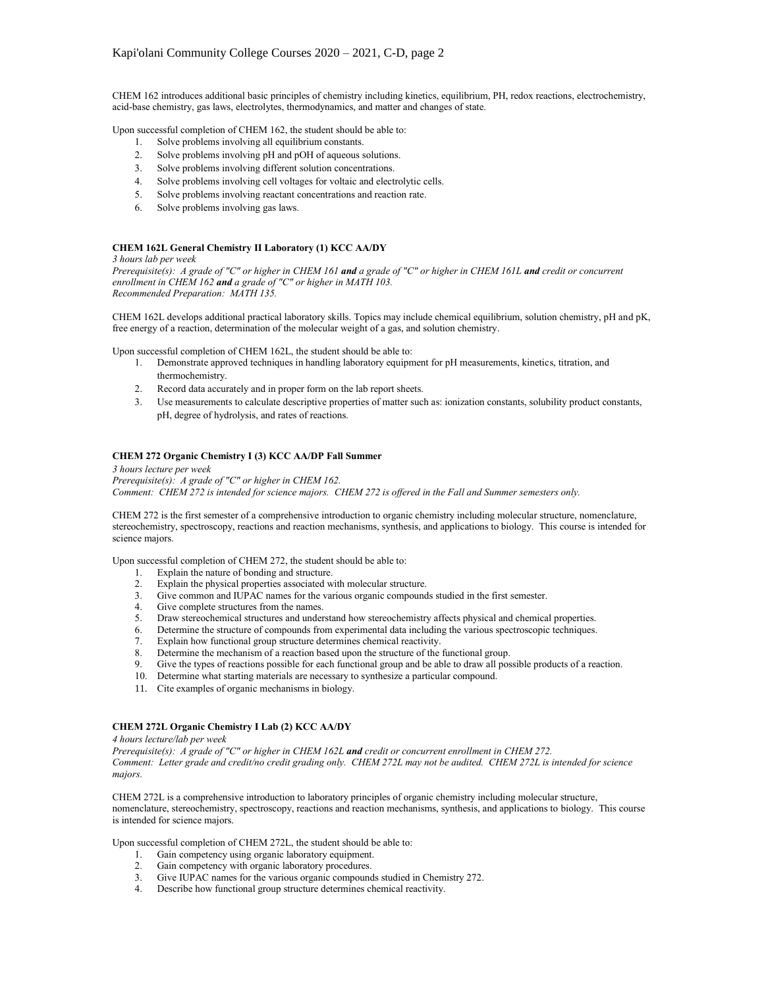CHEM 162 introduces additional basic principles of chemistry including kinetics, equilibrium, PH, redox reactions, electrochemistry, acid-base chemistry, gas laws, electrolytes, thermodynamics, and matter and changes of state.

Upon successful completion of CHEM 162, the student should be able to:

- 1. Solve problems involving all equilibrium constants.
- 2. Solve problems involving pH and pOH of aqueous solutions.
- 3. Solve problems involving different solution concentrations.
- 4. Solve problems involving cell voltages for voltaic and electrolytic cells.
- 5. Solve problems involving reactant concentrations and reaction rate.
- 6. Solve problems involving gas laws.

# **CHEM 162L General Chemistry II Laboratory (1) KCC AA/DY**

#### *3 hours lab per week*

*Prerequisite(s): A grade of "C" or higher in CHEM 161 and a grade of "C" or higher in CHEM 161L and credit or concurrent enrollment in CHEM 162 and a grade of "C" or higher in MATH 103. Recommended Preparation: MATH 135.*

CHEM 162L develops additional practical laboratory skills. Topics may include chemical equilibrium, solution chemistry, pH and pK, free energy of a reaction, determination of the molecular weight of a gas, and solution chemistry.

Upon successful completion of CHEM 162L, the student should be able to:

- 1. Demonstrate approved techniques in handling laboratory equipment for pH measurements, kinetics, titration, and thermochemistry.
- 2. Record data accurately and in proper form on the lab report sheets.
- 3. Use measurements to calculate descriptive properties of matter such as: ionization constants, solubility product constants, pH, degree of hydrolysis, and rates of reactions.

### **CHEM 272 Organic Chemistry I (3) KCC AA/DP Fall Summer**

### *3 hours lecture per week Prerequisite(s): A grade of "C" or higher in CHEM 162. Comment: CHEM 272 is intended for science majors. CHEM 272 is offered in the Fall and Summer semesters only.*

CHEM 272 is the first semester of a comprehensive introduction to organic chemistry including molecular structure, nomenclature, stereochemistry, spectroscopy, reactions and reaction mechanisms, synthesis, and applications to biology. This course is intended for science majors.

Upon successful completion of CHEM 272, the student should be able to:

- 1. Explain the nature of bonding and structure.
- 2. Explain the physical properties associated with molecular structure.
- 3. Give common and IUPAC names for the various organic compounds studied in the first semester.
- 4. Give complete structures from the names.<br>5. Draw stereochemical structures and under
- 5. Draw stereochemical structures and understand how stereochemistry affects physical and chemical properties.
- 6. Determine the structure of compounds from experimental data including the various spectroscopic techniques.
- 7. Explain how functional group structure determines chemical reactivity.
- 8. Determine the mechanism of a reaction based upon the structure of the functional group.
- 9. Give the types of reactions possible for each functional group and be able to draw all possible products of a reaction.
- 10. Determine what starting materials are necessary to synthesize a particular compound.
- 11. Cite examples of organic mechanisms in biology.

### **CHEM 272L Organic Chemistry I Lab (2) KCC AA/DY**

*4 hours lecture/lab per week*

*Prerequisite(s): A grade of "C" or higher in CHEM 162L and credit or concurrent enrollment in CHEM 272. Comment: Letter grade and credit/no credit grading only. CHEM 272L may not be audited. CHEM 272L is intended for science majors.*

CHEM 272L is a comprehensive introduction to laboratory principles of organic chemistry including molecular structure, nomenclature, stereochemistry, spectroscopy, reactions and reaction mechanisms, synthesis, and applications to biology. This course is intended for science majors.

Upon successful completion of CHEM 272L, the student should be able to:

- 1. Gain competency using organic laboratory equipment.
- 2. Gain competency with organic laboratory procedures.
- 3. Give IUPAC names for the various organic compounds studied in Chemistry 272.
- 4. Describe how functional group structure determines chemical reactivity.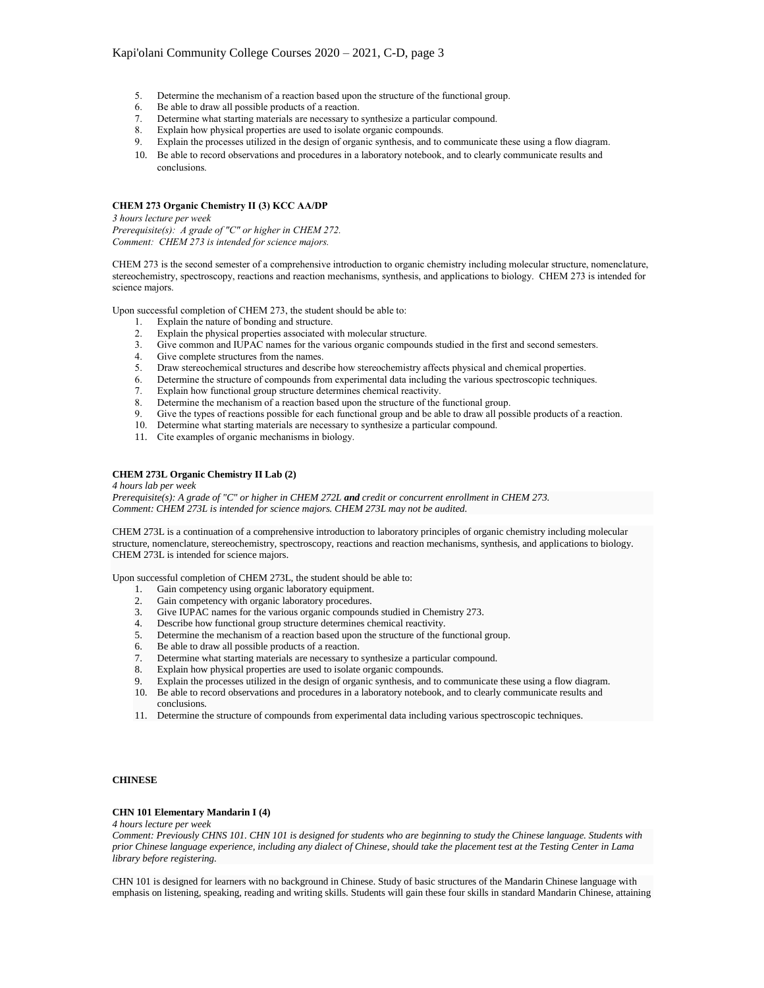- 5. Determine the mechanism of a reaction based upon the structure of the functional group.
- 6. Be able to draw all possible products of a reaction.
- 7. Determine what starting materials are necessary to synthesize a particular compound.
- Explain how physical properties are used to isolate organic compounds.
- 9. Explain the processes utilized in the design of organic synthesis, and to communicate these using a flow diagram.
- 10. Be able to record observations and procedures in a laboratory notebook, and to clearly communicate results and conclusions.

# **CHEM 273 Organic Chemistry II (3) KCC AA/DP**

*3 hours lecture per week Prerequisite(s): A grade of "C" or higher in CHEM 272.*

*Comment: CHEM 273 is intended for science majors.*

CHEM 273 is the second semester of a comprehensive introduction to organic chemistry including molecular structure, nomenclature, stereochemistry, spectroscopy, reactions and reaction mechanisms, synthesis, and applications to biology. CHEM 273 is intended for science majors.

Upon successful completion of CHEM 273, the student should be able to:

- Explain the nature of bonding and structure.
- 2. Explain the physical properties associated with molecular structure.
- 3. Give common and IUPAC names for the various organic compounds studied in the first and second semesters.
- 4. Give complete structures from the names.
- 5. Draw stereochemical structures and describe how stereochemistry affects physical and chemical properties.
- 6. Determine the structure of compounds from experimental data including the various spectroscopic techniques.
- 7. Explain how functional group structure determines chemical reactivity.
- 8. Determine the mechanism of a reaction based upon the structure of the functional group.
- 9. Give the types of reactions possible for each functional group and be able to draw all possible products of a reaction.
- 10. Determine what starting materials are necessary to synthesize a particular compound.
- 11. Cite examples of organic mechanisms in biology.

## **CHEM 273L Organic Chemistry II Lab (2)**

*4 hours lab per week*

*Prerequisite(s): A grade of "C" or higher in CHEM 272L and credit or concurrent enrollment in CHEM 273. Comment: CHEM 273L is intended for science majors. CHEM 273L may not be audited.*

CHEM 273L is a continuation of a comprehensive introduction to laboratory principles of organic chemistry including molecular structure, nomenclature, stereochemistry, spectroscopy, reactions and reaction mechanisms, synthesis, and applications to biology. CHEM 273L is intended for science majors.

Upon successful completion of CHEM 273L, the student should be able to:

- 1. Gain competency using organic laboratory equipment.
- 2. Gain competency with organic laboratory procedures.
- 3. Give IUPAC names for the various organic compounds studied in Chemistry 273.<br>4. Describe how functional group structure determines chemical reactivity
- Describe how functional group structure determines chemical reactivity.
- 5. Determine the mechanism of a reaction based upon the structure of the functional group.
- 6. Be able to draw all possible products of a reaction.
- 7. Determine what starting materials are necessary to synthesize a particular compound.
- 8. Explain how physical properties are used to isolate organic compounds.
- 9. Explain the processes utilized in the design of organic synthesis, and to communicate these using a flow diagram. 10. Be able to record observations and procedures in a laboratory notebook, and to clearly communicate results and
- 11. Determine the structure of compounds from experimental data including various spectroscopic techniques.

# **CHINESE**

### **CHN 101 Elementary Mandarin I (4)**

conclusions.

*4 hours lecture per week*

*Comment: Previously CHNS 101. CHN 101 is designed for students who are beginning to study the Chinese language. Students with prior Chinese language experience, including any dialect of Chinese, should take the placement test at the Testing Center in Lama library before registering.*

CHN 101 is designed for learners with no background in Chinese. Study of basic structures of the Mandarin Chinese language with emphasis on listening, speaking, reading and writing skills. Students will gain these four skills in standard Mandarin Chinese, attaining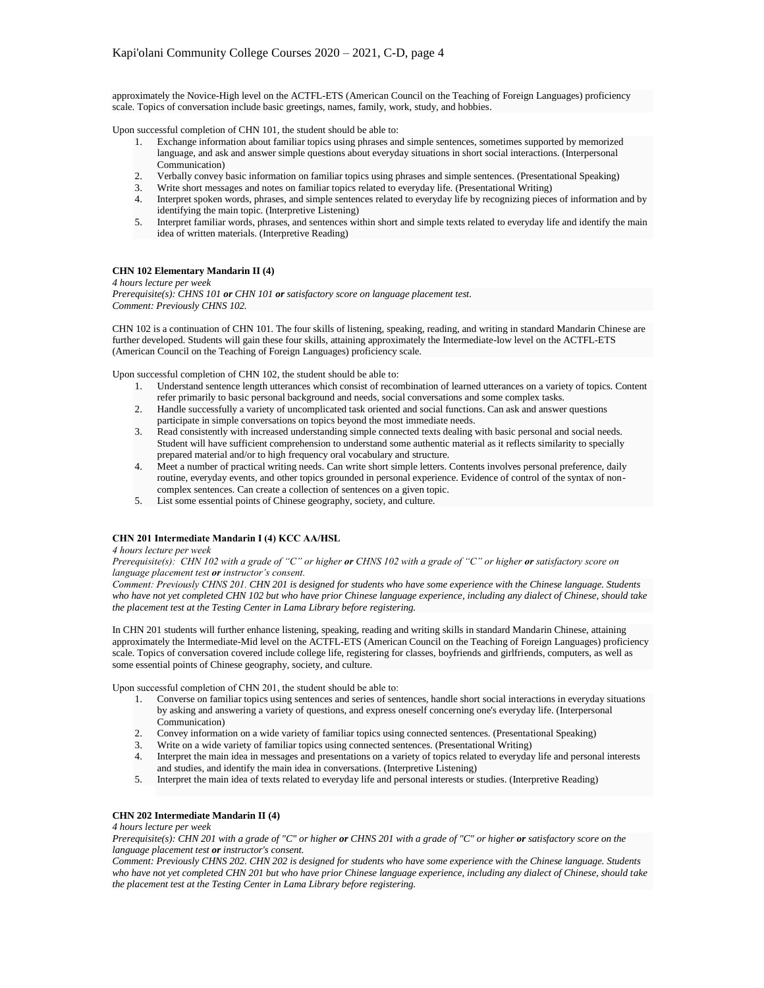approximately the Novice-High level on the ACTFL-ETS (American Council on the Teaching of Foreign Languages) proficiency scale. Topics of conversation include basic greetings, names, family, work, study, and hobbies.

Upon successful completion of CHN 101, the student should be able to:

- 1. Exchange information about familiar topics using phrases and simple sentences, sometimes supported by memorized language, and ask and answer simple questions about everyday situations in short social interactions. (Interpersonal Communication)
- 2. Verbally convey basic information on familiar topics using phrases and simple sentences. (Presentational Speaking)
- 3. Write short messages and notes on familiar topics related to everyday life. (Presentational Writing)
- 4. Interpret spoken words, phrases, and simple sentences related to everyday life by recognizing pieces of information and by identifying the main topic. (Interpretive Listening)
- 5. Interpret familiar words, phrases, and sentences within short and simple texts related to everyday life and identify the main idea of written materials. (Interpretive Reading)

### **CHN 102 Elementary Mandarin II (4)**

*4 hours lecture per week*

*Prerequisite(s): CHNS 101 or CHN 101 or satisfactory score on language placement test. Comment: Previously CHNS 102.*

CHN 102 is a continuation of CHN 101. The four skills of listening, speaking, reading, and writing in standard Mandarin Chinese are further developed. Students will gain these four skills, attaining approximately the Intermediate-low level on the ACTFL-ETS (American Council on the Teaching of Foreign Languages) proficiency scale.

Upon successful completion of CHN 102, the student should be able to:

- 1. Understand sentence length utterances which consist of recombination of learned utterances on a variety of topics. Content refer primarily to basic personal background and needs, social conversations and some complex tasks.
- 2. Handle successfully a variety of uncomplicated task oriented and social functions. Can ask and answer questions participate in simple conversations on topics beyond the most immediate needs.
- 3. Read consistently with increased understanding simple connected texts dealing with basic personal and social needs. Student will have sufficient comprehension to understand some authentic material as it reflects similarity to specially prepared material and/or to high frequency oral vocabulary and structure.
- 4. Meet a number of practical writing needs. Can write short simple letters. Contents involves personal preference, daily routine, everyday events, and other topics grounded in personal experience. Evidence of control of the syntax of noncomplex sentences. Can create a collection of sentences on a given topic.
- 5. List some essential points of Chinese geography, society, and culture.

### **CHN 201 Intermediate Mandarin I (4) KCC AA/HSL**

*4 hours lecture per week*

*Prerequisite(s): CHN 102 with a grade of "C" or higher or CHNS 102 with a grade of "C" or higher or satisfactory score on language placement test or instructor's consent.*

*Comment: Previously CHNS 201. CHN 201 is designed for students who have some experience with the Chinese language. Students who have not yet completed CHN 102 but who have prior Chinese language experience, including any dialect of Chinese, should take the placement test at the Testing Center in Lama Library before registering.*

In CHN 201 students will further enhance listening, speaking, reading and writing skills in standard Mandarin Chinese, attaining approximately the Intermediate-Mid level on the ACTFL-ETS (American Council on the Teaching of Foreign Languages) proficiency scale. Topics of conversation covered include college life, registering for classes, boyfriends and girlfriends, computers, as well as some essential points of Chinese geography, society, and culture.

Upon successful completion of CHN 201, the student should be able to:

- 1. Converse on familiar topics using sentences and series of sentences, handle short social interactions in everyday situations by asking and answering a variety of questions, and express oneself concerning one's everyday life. (Interpersonal Communication)
- 2. Convey information on a wide variety of familiar topics using connected sentences. (Presentational Speaking)
- 
- 3. Write on a wide variety of familiar topics using connected sentences. (Presentational Writing) 4. Interpret the main idea in messages and presentations on a variety of topics related to everyday 4. Interpret the main idea in messages and presentations on a variety of topics related to everyday life and personal interests and studies, and identify the main idea in conversations. (Interpretive Listening)
- 5. Interpret the main idea of texts related to everyday life and personal interests or studies. (Interpretive Reading)

### **CHN 202 Intermediate Mandarin II (4)**

*4 hours lecture per week*

*Prerequisite(s): CHN 201 with a grade of "C" or higher or CHNS 201 with a grade of "C" or higher or satisfactory score on the language placement test or instructor's consent.*

*Comment: Previously CHNS 202. CHN 202 is designed for students who have some experience with the Chinese language. Students who have not yet completed CHN 201 but who have prior Chinese language experience, including any dialect of Chinese, should take the placement test at the Testing Center in Lama Library before registering.*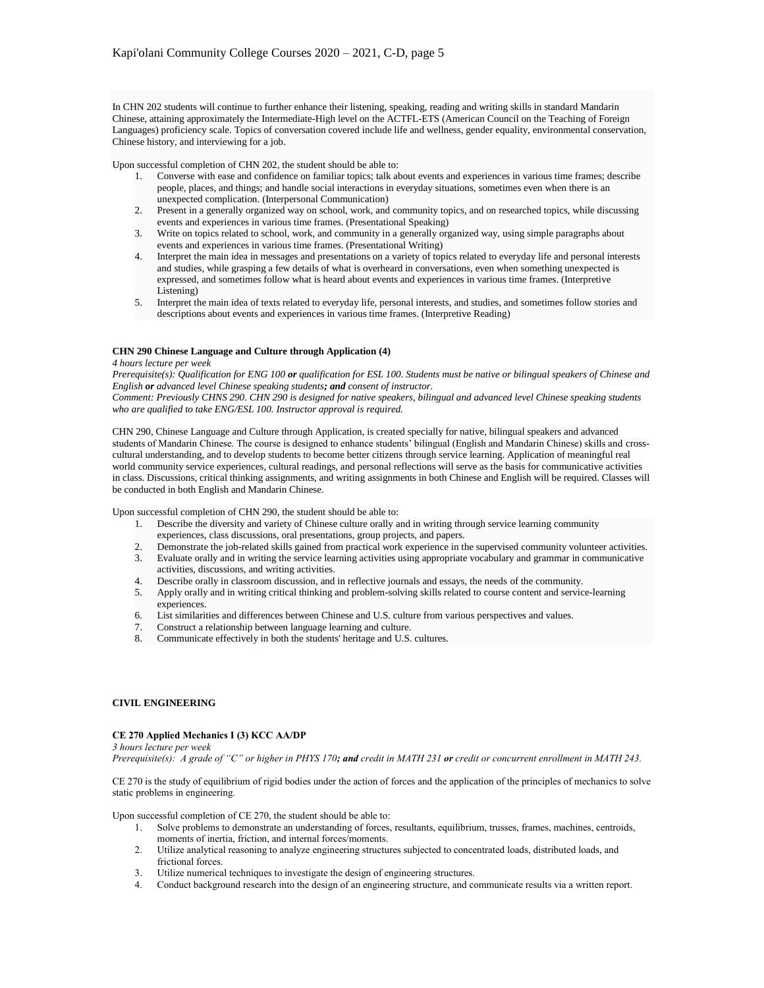In CHN 202 students will continue to further enhance their listening, speaking, reading and writing skills in standard Mandarin Chinese, attaining approximately the Intermediate-High level on the ACTFL-ETS (American Council on the Teaching of Foreign Languages) proficiency scale. Topics of conversation covered include life and wellness, gender equality, environmental conservation, Chinese history, and interviewing for a job.

Upon successful completion of CHN 202, the student should be able to:

- 1. Converse with ease and confidence on familiar topics; talk about events and experiences in various time frames; describe people, places, and things; and handle social interactions in everyday situations, sometimes even when there is an unexpected complication. (Interpersonal Communication)
- 2. Present in a generally organized way on school, work, and community topics, and on researched topics, while discussing events and experiences in various time frames. (Presentational Speaking)
- 3. Write on topics related to school, work, and community in a generally organized way, using simple paragraphs about events and experiences in various time frames. (Presentational Writing)
- 4. Interpret the main idea in messages and presentations on a variety of topics related to everyday life and personal interests and studies, while grasping a few details of what is overheard in conversations, even when something unexpected is expressed, and sometimes follow what is heard about events and experiences in various time frames. (Interpretive Listening)
- 5. Interpret the main idea of texts related to everyday life, personal interests, and studies, and sometimes follow stories and descriptions about events and experiences in various time frames. (Interpretive Reading)

### **CHN 290 Chinese Language and Culture through Application (4)**

#### *4 hours lecture per week*

*Prerequisite(s): Qualification for ENG 100 or qualification for ESL 100. Students must be native or bilingual speakers of Chinese and English or advanced level Chinese speaking students; and consent of instructor.*

*Comment: Previously CHNS 290. CHN 290 is designed for native speakers, bilingual and advanced level Chinese speaking students who are qualified to take ENG/ESL 100. Instructor approval is required.*

CHN 290, Chinese Language and Culture through Application, is created specially for native, bilingual speakers and advanced students of Mandarin Chinese. The course is designed to enhance students' bilingual (English and Mandarin Chinese) skills and crosscultural understanding, and to develop students to become better citizens through service learning. Application of meaningful real world community service experiences, cultural readings, and personal reflections will serve as the basis for communicative activities in class. Discussions, critical thinking assignments, and writing assignments in both Chinese and English will be required. Classes will be conducted in both English and Mandarin Chinese.

Upon successful completion of CHN 290, the student should be able to:

- 1. Describe the diversity and variety of Chinese culture orally and in writing through service learning community experiences, class discussions, oral presentations, group projects, and papers.
- 
- 2. Demonstrate the job-related skills gained from practical work experience in the supervised community volunteer activities.<br>3. Evaluate orally and in writing the service learning activities using appropriate vocabulary a 3. Evaluate orally and in writing the service learning activities using appropriate vocabulary and grammar in communicative activities, discussions, and writing activities.
- 4. Describe orally in classroom discussion, and in reflective journals and essays, the needs of the community.
- 5. Apply orally and in writing critical thinking and problem-solving skills related to course content and service-learning experiences.
- 6. List similarities and differences between Chinese and U.S. culture from various perspectives and values.
- 7. Construct a relationship between language learning and culture.
- 8. Communicate effectively in both the students' heritage and U.S. cultures.

# **CIVIL ENGINEERING**

### **CE 270 Applied Mechanics I (3) KCC AA/DP**

*3 hours lecture per week Prerequisite(s): A grade of "C" or higher in PHYS 170; and credit in MATH 231 or credit or concurrent enrollment in MATH 243.*

CE 270 is the study of equilibrium of rigid bodies under the action of forces and the application of the principles of mechanics to solve static problems in engineering.

Upon successful completion of CE 270, the student should be able to:

- 1. Solve problems to demonstrate an understanding of forces, resultants, equilibrium, trusses, frames, machines, centroids, moments of inertia, friction, and internal forces/moments.
- 2. Utilize analytical reasoning to analyze engineering structures subjected to concentrated loads, distributed loads, and frictional forces.
- 3. Utilize numerical techniques to investigate the design of engineering structures.
- 4. Conduct background research into the design of an engineering structure, and communicate results via a written report.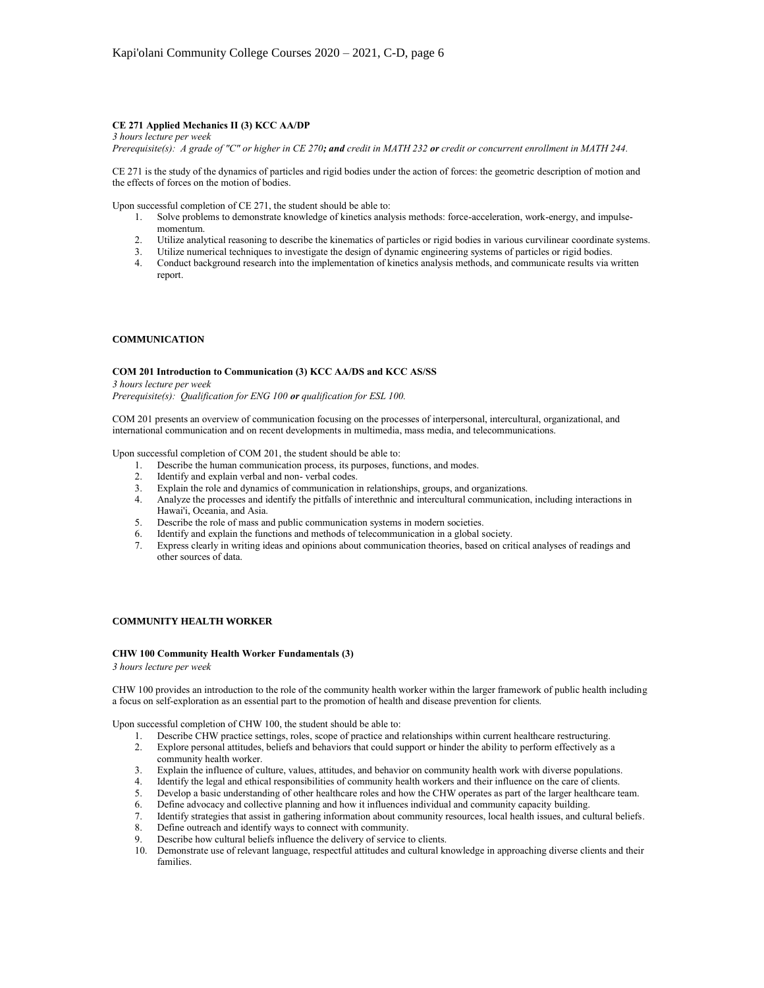## **CE 271 Applied Mechanics II (3) KCC AA/DP**

*3 hours lecture per week*

*Prerequisite(s): A grade of "C" or higher in CE 270; and credit in MATH 232 or credit or concurrent enrollment in MATH 244.*

CE 271 is the study of the dynamics of particles and rigid bodies under the action of forces: the geometric description of motion and the effects of forces on the motion of bodies.

Upon successful completion of CE 271, the student should be able to:

- 1. Solve problems to demonstrate knowledge of kinetics analysis methods: force-acceleration, work-energy, and impulsemomentum.
- 2. Utilize analytical reasoning to describe the kinematics of particles or rigid bodies in various curvilinear coordinate systems.
- 3. Utilize numerical techniques to investigate the design of dynamic engineering systems of particles or rigid bodies.
- 4. Conduct background research into the implementation of kinetics analysis methods, and communicate results via written report.

## **COMMUNICATION**

### **COM 201 Introduction to Communication (3) KCC AA/DS and KCC AS/SS**

*3 hours lecture per week Prerequisite(s): Qualification for ENG 100 or qualification for ESL 100.*

COM 201 presents an overview of communication focusing on the processes of interpersonal, intercultural, organizational, and international communication and on recent developments in multimedia, mass media, and telecommunications.

Upon successful completion of COM 201, the student should be able to:

- 1. Describe the human communication process, its purposes, functions, and modes.
- 
- 2. Identify and explain verbal and non-verbal codes.<br>
2. Explain the role and dynamics of communication in relationships, groups, and organizations. 3. Explain the role and dynamics of communication in relationships, groups, and organizations.
- 4. Analyze the processes and identify the pitfalls of interethnic and intercultural communication, including interactions in Hawai'i, Oceania, and Asia.
- 5. Describe the role of mass and public communication systems in modern societies.
- 6. Identify and explain the functions and methods of telecommunication in a global society.
- 7. Express clearly in writing ideas and opinions about communication theories, based on critical analyses of readings and other sources of data.

# **COMMUNITY HEALTH WORKER**

#### **CHW 100 Community Health Worker Fundamentals (3)**

*3 hours lecture per week*

CHW 100 provides an introduction to the role of the community health worker within the larger framework of public health including a focus on self-exploration as an essential part to the promotion of health and disease prevention for clients.

Upon successful completion of CHW 100, the student should be able to:

- 1. Describe CHW practice settings, roles, scope of practice and relationships within current healthcare restructuring.
- 2. Explore personal attitudes, beliefs and behaviors that could support or hinder the ability to perform effectively as a community health worker.
- 3. Explain the influence of culture, values, attitudes, and behavior on community health work with diverse populations.
- 4. Identify the legal and ethical responsibilities of community health workers and their influence on the care of clients.
- 5. Develop a basic understanding of other healthcare roles and how the CHW operates as part of the larger healthcare team.
- 6. Define advocacy and collective planning and how it influences individual and community capacity building.
- 7. Identify strategies that assist in gathering information about community resources, local health issues, and cultural beliefs.
- 8. Define outreach and identify ways to connect with community.
- 9. Describe how cultural beliefs influence the delivery of service to clients.
- 10. Demonstrate use of relevant language, respectful attitudes and cultural knowledge in approaching diverse clients and their families.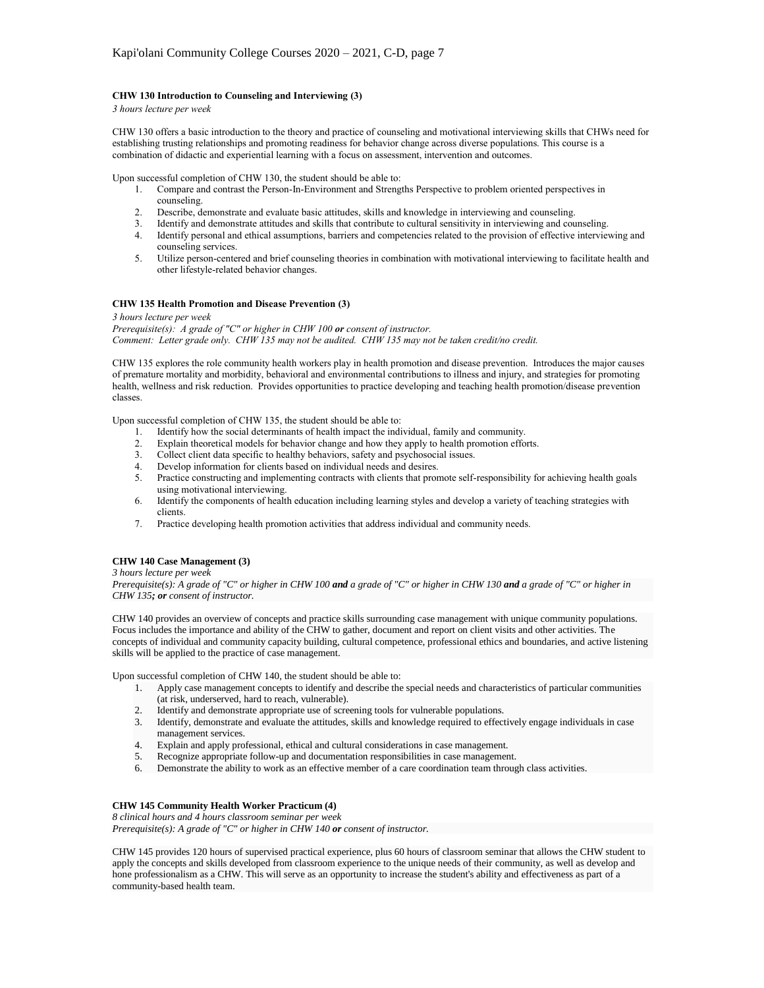### **CHW 130 Introduction to Counseling and Interviewing (3)**

*3 hours lecture per week*

CHW 130 offers a basic introduction to the theory and practice of counseling and motivational interviewing skills that CHWs need for establishing trusting relationships and promoting readiness for behavior change across diverse populations. This course is a combination of didactic and experiential learning with a focus on assessment, intervention and outcomes.

Upon successful completion of CHW 130, the student should be able to:

- 1. Compare and contrast the Person-In-Environment and Strengths Perspective to problem oriented perspectives in counseling.
- 2. Describe, demonstrate and evaluate basic attitudes, skills and knowledge in interviewing and counseling.
- 3. Identify and demonstrate attitudes and skills that contribute to cultural sensitivity in interviewing and counseling.
- 4. Identify the construction and ethical assumptions, barriers and competencies related to the provision of effective interviewing and counseling services.
- 5. Utilize person-centered and brief counseling theories in combination with motivational interviewing to facilitate health and other lifestyle-related behavior changes.

## **CHW 135 Health Promotion and Disease Prevention (3)**

*3 hours lecture per week*

*Prerequisite(s): A grade of "C" or higher in CHW 100 or consent of instructor. Comment: Letter grade only. CHW 135 may not be audited. CHW 135 may not be taken credit/no credit.*

CHW 135 explores the role community health workers play in health promotion and disease prevention. Introduces the major causes of premature mortality and morbidity, behavioral and environmental contributions to illness and injury, and strategies for promoting health, wellness and risk reduction. Provides opportunities to practice developing and teaching health promotion/disease prevention classes.

Upon successful completion of CHW 135, the student should be able to:

- 1. Identify how the social determinants of health impact the individual, family and community.
- 2. Explain theoretical models for behavior change and how they apply to health promotion efforts.
- 3. Collect client data specific to healthy behaviors, safety and psychosocial issues.<br>4. Develop information for clients based on individual needs and desires.
- Develop information for clients based on individual needs and desires.
- 5. Practice constructing and implementing contracts with clients that promote self-responsibility for achieving health goals using motivational interviewing.
- 6. Identify the components of health education including learning styles and develop a variety of teaching strategies with clients.
- 7. Practice developing health promotion activities that address individual and community needs.

# **CHW 140 Case Management (3)**

### *3 hours lecture per week*

*Prerequisite(s): A grade of "C" or higher in CHW 100 and a grade of "C" or higher in CHW 130 and a grade of "C" or higher in CHW 135; or consent of instructor.*

CHW 140 provides an overview of concepts and practice skills surrounding case management with unique community populations. Focus includes the importance and ability of the CHW to gather, document and report on client visits and other activities. The concepts of individual and community capacity building, cultural competence, professional ethics and boundaries, and active listening skills will be applied to the practice of case management.

Upon successful completion of CHW 140, the student should be able to:

- 1. Apply case management concepts to identify and describe the special needs and characteristics of particular communities (at risk, underserved, hard to reach, vulnerable).
- 2. Identify and demonstrate appropriate use of screening tools for vulnerable populations.
- 3. Identify, demonstrate and evaluate the attitudes, skills and knowledge required to effectively engage individuals in case management services.
- 4. Explain and apply professional, ethical and cultural considerations in case management.<br>5. Recognize appropriate follow-up and documentation responsibilities in case management
- 5. Recognize appropriate follow-up and documentation responsibilities in case management.<br>6. Demonstrate the ability to work as an effective member of a care coordination team through
- Demonstrate the ability to work as an effective member of a care coordination team through class activities.

### **CHW 145 Community Health Worker Practicum (4)**

*8 clinical hours and 4 hours classroom seminar per week Prerequisite(s): A grade of "C" or higher in CHW 140 or consent of instructor.*

CHW 145 provides 120 hours of supervised practical experience, plus 60 hours of classroom seminar that allows the CHW student to apply the concepts and skills developed from classroom experience to the unique needs of their community, as well as develop and hone professionalism as a CHW. This will serve as an opportunity to increase the student's ability and effectiveness as part of a community-based health team.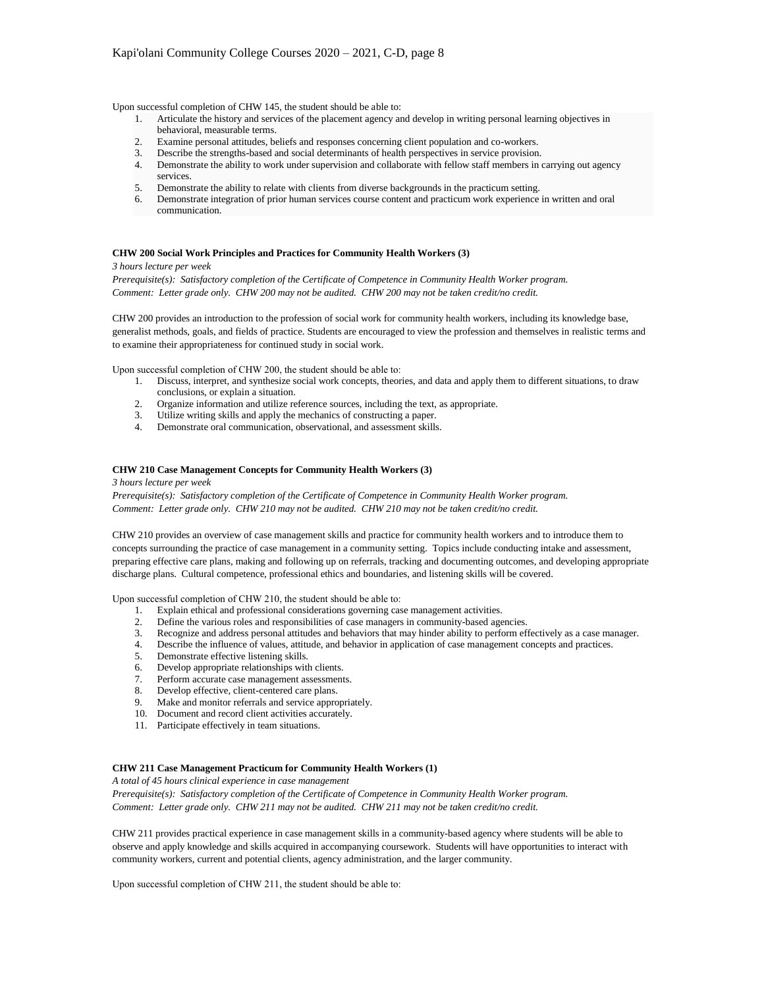Upon successful completion of CHW 145, the student should be able to:

- 1. Articulate the history and services of the placement agency and develop in writing personal learning objectives in behavioral, measurable terms.
- 2. Examine personal attitudes, beliefs and responses concerning client population and co-workers.
- 3. Describe the strengths-based and social determinants of health perspectives in service provision.
- 4. Demonstrate the ability to work under supervision and collaborate with fellow staff members in carrying out agency services.
- 5. Demonstrate the ability to relate with clients from diverse backgrounds in the practicum setting.
- 6. Demonstrate integration of prior human services course content and practicum work experience in written and oral communication.

### **CHW 200 Social Work Principles and Practices for Community Health Workers (3)**

*3 hours lecture per week Prerequisite(s): Satisfactory completion of the Certificate of Competence in Community Health Worker program. Comment: Letter grade only. CHW 200 may not be audited. CHW 200 may not be taken credit/no credit.*

CHW 200 provides an introduction to the profession of social work for community health workers, including its knowledge base, generalist methods, goals, and fields of practice. Students are encouraged to view the profession and themselves in realistic terms and to examine their appropriateness for continued study in social work.

Upon successful completion of CHW 200, the student should be able to:

- 1. Discuss, interpret, and synthesize social work concepts, theories, and data and apply them to different situations, to draw conclusions, or explain a situation.
- 2. Organize information and utilize reference sources, including the text, as appropriate.
- 3. Utilize writing skills and apply the mechanics of constructing a paper.
- 4. Demonstrate oral communication, observational, and assessment skills.

## **CHW 210 Case Management Concepts for Community Health Workers (3)**

*3 hours lecture per week*

*Prerequisite(s): Satisfactory completion of the Certificate of Competence in Community Health Worker program. Comment: Letter grade only. CHW 210 may not be audited. CHW 210 may not be taken credit/no credit.*

CHW 210 provides an overview of case management skills and practice for community health workers and to introduce them to concepts surrounding the practice of case management in a community setting. Topics include conducting intake and assessment, preparing effective care plans, making and following up on referrals, tracking and documenting outcomes, and developing appropriate discharge plans. Cultural competence, professional ethics and boundaries, and listening skills will be covered.

Upon successful completion of CHW 210, the student should be able to:

- 1. Explain ethical and professional considerations governing case management activities.
- 2. Define the various roles and responsibilities of case managers in community-based agencies.
- 3. Recognize and address personal attitudes and behaviors that may hinder ability to perform effectively as a case manager.
- 4. Describe the influence of values, attitude, and behavior in application of case management concepts and practices.
- 5. Demonstrate effective listening skills.
- 6. Develop appropriate relationships with clients.
- 7. Perform accurate case management assessments.
- 8. Develop effective, client-centered care plans.
- 9. Make and monitor referrals and service appropriately.
- 10. Document and record client activities accurately.
- 11. Participate effectively in team situations.

# **CHW 211 Case Management Practicum for Community Health Workers (1)**

*A total of 45 hours clinical experience in case management*

*Prerequisite(s): Satisfactory completion of the Certificate of Competence in Community Health Worker program. Comment: Letter grade only. CHW 211 may not be audited. CHW 211 may not be taken credit/no credit.*

CHW 211 provides practical experience in case management skills in a community-based agency where students will be able to observe and apply knowledge and skills acquired in accompanying coursework. Students will have opportunities to interact with community workers, current and potential clients, agency administration, and the larger community.

Upon successful completion of CHW 211, the student should be able to: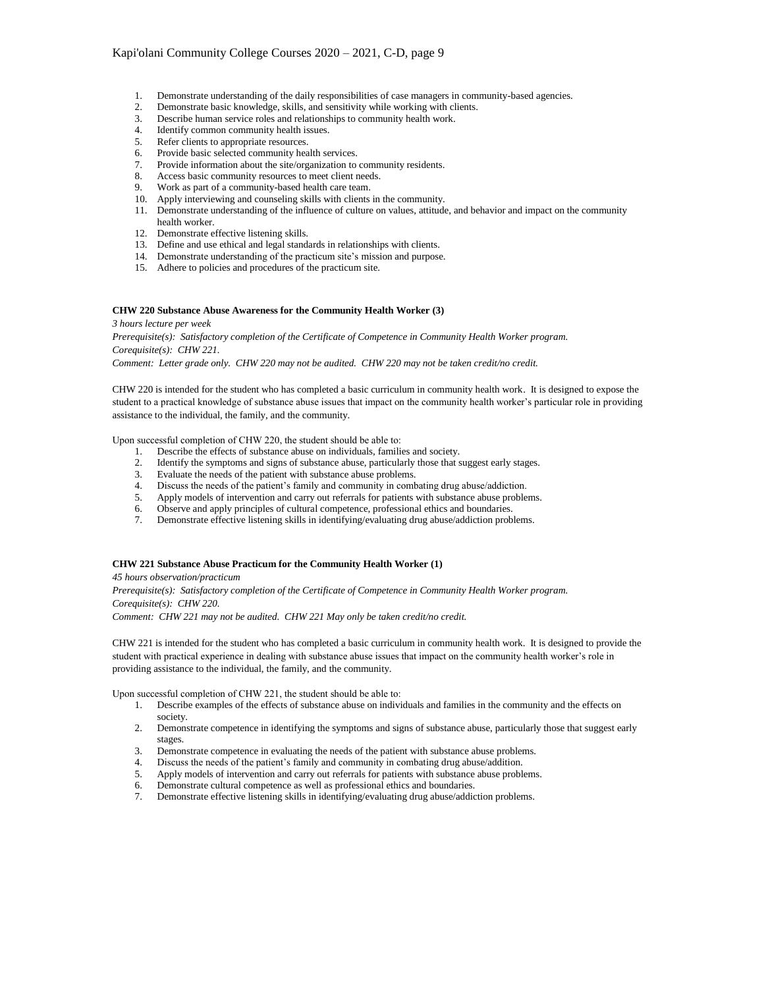- 1. Demonstrate understanding of the daily responsibilities of case managers in community-based agencies.
- 2. Demonstrate basic knowledge, skills, and sensitivity while working with clients.<br>3. Describe human service roles and relationships to community health work.
- Describe human service roles and relationships to community health work.
- 4. Identify common community health issues.
- 5. Refer clients to appropriate resources.
- 
- 6. Provide basic selected community health services.<br>7. Provide information about the site/organization to<br>8. Access basic community resources to meet client n Provide information about the site/organization to community residents.
- Access basic community resources to meet client needs.
- 9. Work as part of a community-based health care team.
- 10. Apply interviewing and counseling skills with clients in the community.
- 11. Demonstrate understanding of the influence of culture on values, attitude, and behavior and impact on the community health worker.
- 12. Demonstrate effective listening skills.
- 13. Define and use ethical and legal standards in relationships with clients.
- 14. Demonstrate understanding of the practicum site's mission and purpose.
- 15. Adhere to policies and procedures of the practicum site.

#### **CHW 220 Substance Abuse Awareness for the Community Health Worker (3)**

*3 hours lecture per week*

*Prerequisite(s): Satisfactory completion of the Certificate of Competence in Community Health Worker program. Corequisite(s): CHW 221.*

*Comment: Letter grade only. CHW 220 may not be audited. CHW 220 may not be taken credit/no credit.*

CHW 220 is intended for the student who has completed a basic curriculum in community health work. It is designed to expose the student to a practical knowledge of substance abuse issues that impact on the community health worker's particular role in providing assistance to the individual, the family, and the community.

Upon successful completion of CHW 220, the student should be able to:

- 1. Describe the effects of substance abuse on individuals, families and society.
- 2. Identify the symptoms and signs of substance abuse, particularly those that suggest early stages.
- 3. Evaluate the needs of the patient with substance abuse problems.
- 4. Discuss the needs of the patient's family and community in combating drug abuse/addiction.
- 5. Apply models of intervention and carry out referrals for patients with substance abuse problems.
- 6. Observe and apply principles of cultural competence, professional ethics and boundaries.
- 7. Demonstrate effective listening skills in identifying/evaluating drug abuse/addiction problems.

#### **CHW 221 Substance Abuse Practicum for the Community Health Worker (1)**

*45 hours observation/practicum Prerequisite(s): Satisfactory completion of the Certificate of Competence in Community Health Worker program. Corequisite(s): CHW 220.*

*Comment: CHW 221 may not be audited. CHW 221 May only be taken credit/no credit.*

CHW 221 is intended for the student who has completed a basic curriculum in community health work. It is designed to provide the student with practical experience in dealing with substance abuse issues that impact on the community health worker's role in providing assistance to the individual, the family, and the community.

Upon successful completion of CHW 221, the student should be able to:

- 1. Describe examples of the effects of substance abuse on individuals and families in the community and the effects on society.
- 2. Demonstrate competence in identifying the symptoms and signs of substance abuse, particularly those that suggest early stages.
- 3. Demonstrate competence in evaluating the needs of the patient with substance abuse problems.
- 4. Discuss the needs of the patient's family and community in combating drug abuse/addition.
- 5. Apply models of intervention and carry out referrals for patients with substance abuse problems.
- 6. Demonstrate cultural competence as well as professional ethics and boundaries.<br>7. Demonstrate effective listening skills in identifying/evaluating drug abuse/addio
- Demonstrate effective listening skills in identifying/evaluating drug abuse/addiction problems.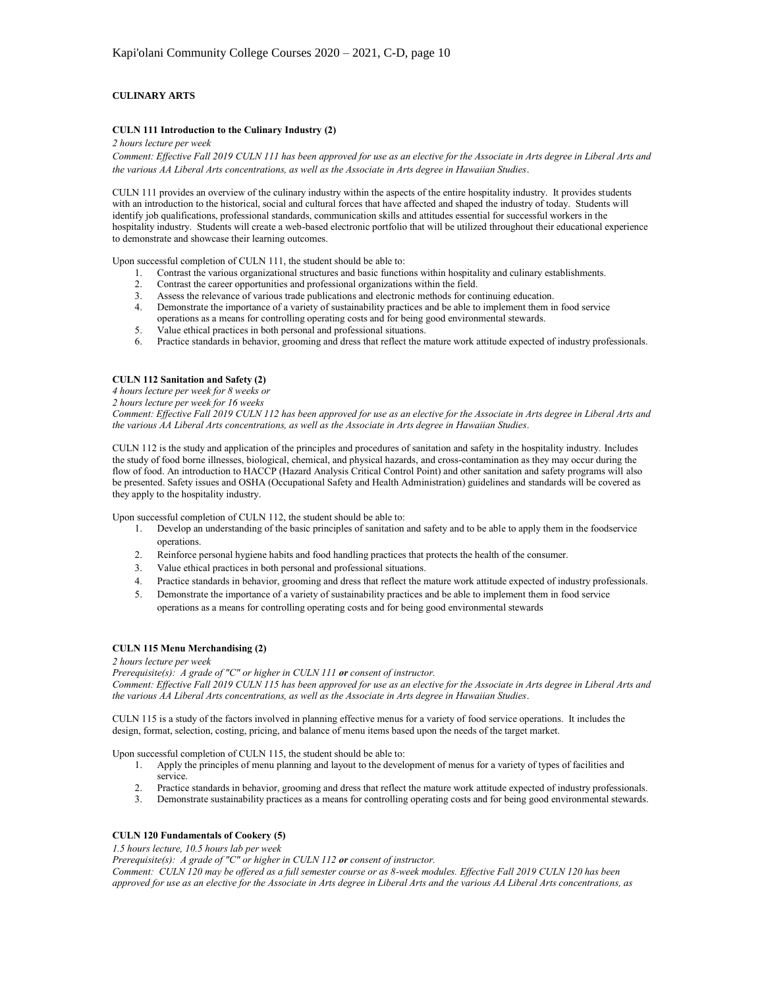# **CULINARY ARTS**

## **CULN 111 Introduction to the Culinary Industry (2)**

### *2 hours lecture per week*

*Comment: Effective Fall 2019 CULN 111 has been approved for use as an elective for the Associate in Arts degree in Liberal Arts and the various AA Liberal Arts concentrations, as well as the Associate in Arts degree in Hawaiian Studies*.

CULN 111 provides an overview of the culinary industry within the aspects of the entire hospitality industry. It provides students with an introduction to the historical, social and cultural forces that have affected and shaped the industry of today. Students will identify job qualifications, professional standards, communication skills and attitudes essential for successful workers in the hospitality industry. Students will create a web-based electronic portfolio that will be utilized throughout their educational experience to demonstrate and showcase their learning outcomes.

Upon successful completion of CULN 111, the student should be able to:

- 1. Contrast the various organizational structures and basic functions within hospitality and culinary establishments.<br>2. Contrast the career opportunities and professional organizations within the field.
- 2. Contrast the career opportunities and professional organizations within the field.
- 3. Assess the relevance of various trade publications and electronic methods for continuing education.
- 4. Demonstrate the importance of a variety of sustainability practices and be able to implement them in food service operations as a means for controlling operating costs and for being good environmental stewards.
- 5. Value ethical practices in both personal and professional situations.
- 6. Practice standards in behavior, grooming and dress that reflect the mature work attitude expected of industry professionals.

## **CULN 112 Sanitation and Safety (2)**

*4 hours lecture per week for 8 weeks or*

*2 hours lecture per week for 16 weeks*

*Comment: Effective Fall 2019 CULN 112 has been approved for use as an elective for the Associate in Arts degree in Liberal Arts and the various AA Liberal Arts concentrations, as well as the Associate in Arts degree in Hawaiian Studies*.

CULN 112 is the study and application of the principles and procedures of sanitation and safety in the hospitality industry. Includes the study of food borne illnesses, biological, chemical, and physical hazards, and cross-contamination as they may occur during the flow of food. An introduction to HACCP (Hazard Analysis Critical Control Point) and other sanitation and safety programs will also be presented. Safety issues and OSHA (Occupational Safety and Health Administration) guidelines and standards will be covered as they apply to the hospitality industry.

Upon successful completion of CULN 112, the student should be able to:

- 1. Develop an understanding of the basic principles of sanitation and safety and to be able to apply them in the foodservice operations.
- 2. Reinforce personal hygiene habits and food handling practices that protects the health of the consumer.
- 3. Value ethical practices in both personal and professional situations.
- 4. Practice standards in behavior, grooming and dress that reflect the mature work attitude expected of industry professionals.
- 5. Demonstrate the importance of a variety of sustainability practices and be able to implement them in food service operations as a means for controlling operating costs and for being good environmental stewards

### **CULN 115 Menu Merchandising (2)**

### *2 hours lecture per week*

*Prerequisite(s): A grade of "C" or higher in CULN 111 or consent of instructor.*

*Comment: Effective Fall 2019 CULN 115 has been approved for use as an elective for the Associate in Arts degree in Liberal Arts and the various AA Liberal Arts concentrations, as well as the Associate in Arts degree in Hawaiian Studies*.

CULN 115 is a study of the factors involved in planning effective menus for a variety of food service operations. It includes the design, format, selection, costing, pricing, and balance of menu items based upon the needs of the target market.

Upon successful completion of CULN 115, the student should be able to:

- 1. Apply the principles of menu planning and layout to the development of menus for a variety of types of facilities and service.
- 2. Practice standards in behavior, grooming and dress that reflect the mature work attitude expected of industry professionals.
- 3. Demonstrate sustainability practices as a means for controlling operating costs and for being good environmental stewards.

# **CULN 120 Fundamentals of Cookery (5)**

*1.5 hours lecture, 10.5 hours lab per week*

*Prerequisite(s): A grade of "C" or higher in CULN 112 or consent of instructor.*

*Comment: CULN 120 may be offered as a full semester course or as 8-week modules. Effective Fall 2019 CULN 120 has been approved for use as an elective for the Associate in Arts degree in Liberal Arts and the various AA Liberal Arts concentrations, as*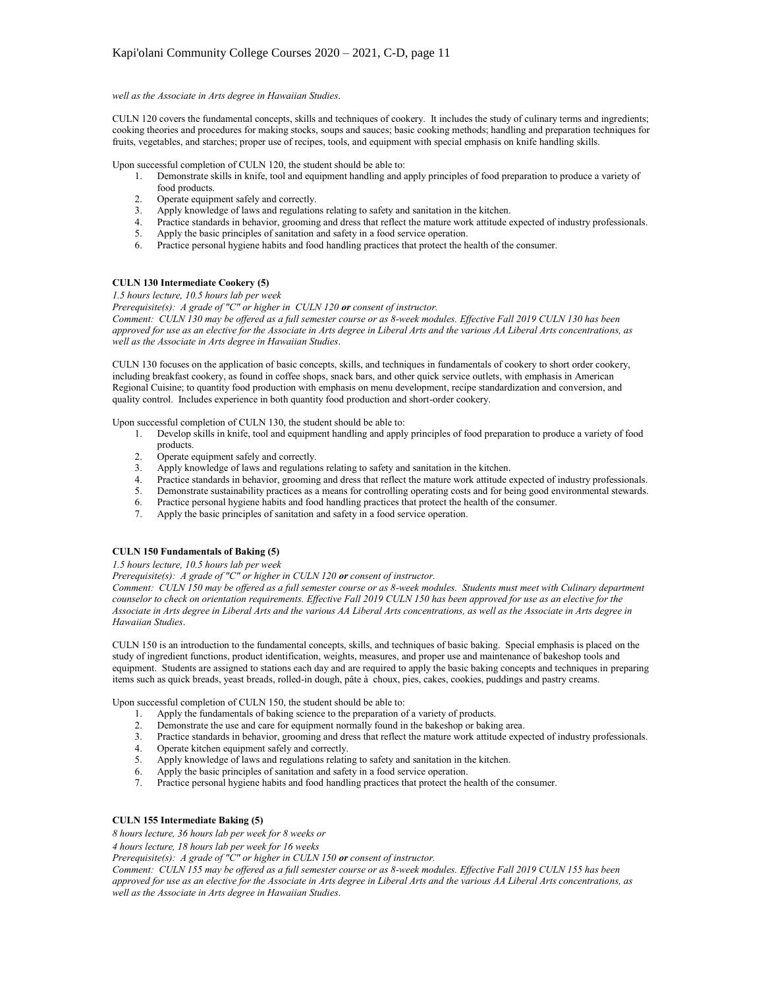*well as the Associate in Arts degree in Hawaiian Studies*.

CULN 120 covers the fundamental concepts, skills and techniques of cookery. It includes the study of culinary terms and ingredients; cooking theories and procedures for making stocks, soups and sauces; basic cooking methods; handling and preparation techniques for fruits, vegetables, and starches; proper use of recipes, tools, and equipment with special emphasis on knife handling skills.

Upon successful completion of CULN 120, the student should be able to:

- 1. Demonstrate skills in knife, tool and equipment handling and apply principles of food preparation to produce a variety of food products.
- 2. Operate equipment safely and correctly.
- 3. Apply knowledge of laws and regulations relating to safety and sanitation in the kitchen.
- 4. Practice standards in behavior, grooming and dress that reflect the mature work attitude expected of industry professionals.
- 5. Apply the basic principles of sanitation and safety in a food service operation.
- 6. Practice personal hygiene habits and food handling practices that protect the health of the consumer.

# **CULN 130 Intermediate Cookery (5)**

*1.5 hours lecture, 10.5 hours lab per week*

# *Prerequisite(s): A grade of "C" or higher in CULN 120 or consent of instructor.*

*Comment: CULN 130 may be offered as a full semester course or as 8-week modules. Effective Fall 2019 CULN 130 has been approved for use as an elective for the Associate in Arts degree in Liberal Arts and the various AA Liberal Arts concentrations, as well as the Associate in Arts degree in Hawaiian Studies*.

CULN 130 focuses on the application of basic concepts, skills, and techniques in fundamentals of cookery to short order cookery, including breakfast cookery, as found in coffee shops, snack bars, and other quick service outlets, with emphasis in American Regional Cuisine; to quantity food production with emphasis on menu development, recipe standardization and conversion, and quality control. Includes experience in both quantity food production and short-order cookery.

Upon successful completion of CULN 130, the student should be able to:

- 1. Develop skills in knife, tool and equipment handling and apply principles of food preparation to produce a variety of food products.
- 2. Operate equipment safely and correctly.
- 3. Apply knowledge of laws and regulations relating to safety and sanitation in the kitchen.
- 4. Practice standards in behavior, grooming and dress that reflect the mature work attitude expected of industry professionals.
- 5. Demonstrate sustainability practices as a means for controlling operating costs and for being good environmental stewards.
- 6. Practice personal hygiene habits and food handling practices that protect the health of the consumer.
- Apply the basic principles of sanitation and safety in a food service operation.

# **CULN 150 Fundamentals of Baking (5)**

# *1.5 hours lecture, 10.5 hours lab per week*

*Prerequisite(s): A grade of "C" or higher in CULN 120 or consent of instructor.*

*Comment: CULN 150 may be offered as a full semester course or as 8-week modules. Students must meet with Culinary department counselor to check on orientation requirements. Effective Fall 2019 CULN 150 has been approved for use as an elective for the Associate in Arts degree in Liberal Arts and the various AA Liberal Arts concentrations, as well as the Associate in Arts degree in Hawaiian Studies*.

CULN 150 is an introduction to the fundamental concepts, skills, and techniques of basic baking. Special emphasis is placed on the study of ingredient functions, product identification, weights, measures, and proper use and maintenance of bakeshop tools and equipment. Students are assigned to stations each day and are required to apply the basic baking concepts and techniques in preparing items such as quick breads, yeast breads, rolled-in dough, pâte à choux, pies, cakes, cookies, puddings and pastry creams.

Upon successful completion of CULN 150, the student should be able to:

- 1. Apply the fundamentals of baking science to the preparation of a variety of products.
- 
- 2. Demonstrate the use and care for equipment normally found in the bakeshop or baking area.<br>3. Practice standards in behavior, grooming and dress that reflect the mature work attitude experience 3. Practice standards in behavior, grooming and dress that reflect the mature work attitude expected of industry professionals.
- 4. Operate kitchen equipment safely and correctly.
- 5. Apply knowledge of laws and regulations relating to safety and sanitation in the kitchen.
- 6. Apply the basic principles of sanitation and safety in a food service operation.<br>7. Practice personal hygiene habits and food handling practices that protect the h
- Practice personal hygiene habits and food handling practices that protect the health of the consumer.

# **CULN 155 Intermediate Baking (5)**

*8 hours lecture, 36 hours lab per week for 8 weeks or*

*4 hours lecture, 18 hours lab per week for 16 weeks*

*Prerequisite(s): A grade of "C" or higher in CULN 150 or consent of instructor.*

*Comment: CULN 155 may be offered as a full semester course or as 8-week modules. Effective Fall 2019 CULN 155 has been approved for use as an elective for the Associate in Arts degree in Liberal Arts and the various AA Liberal Arts concentrations, as well as the Associate in Arts degree in Hawaiian Studies*.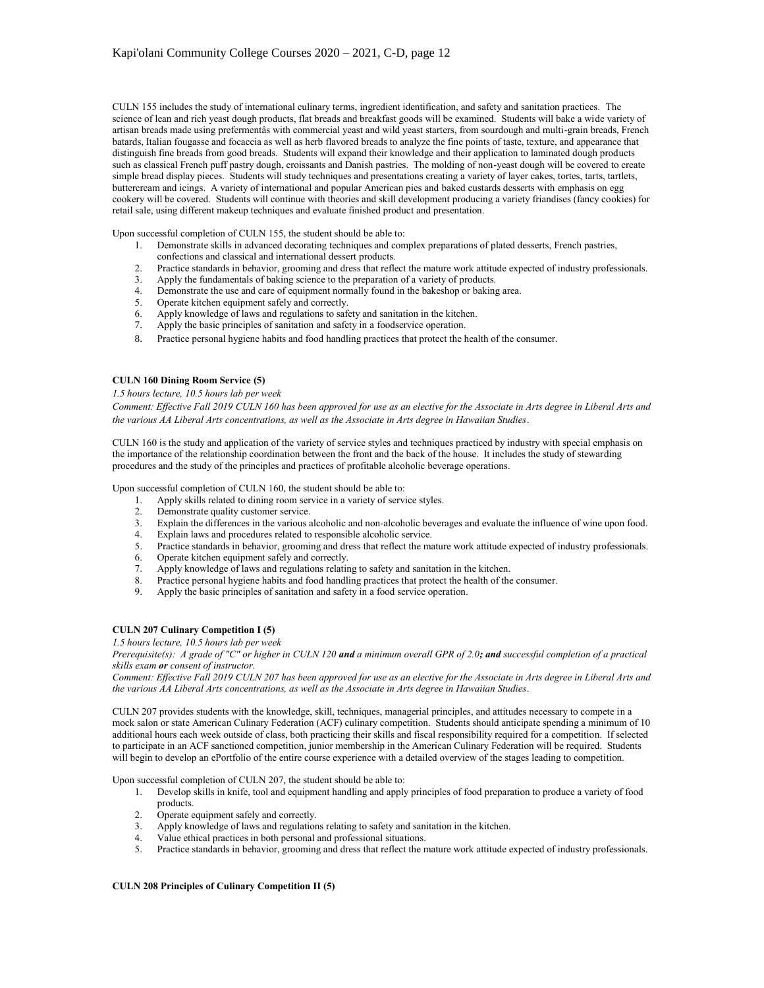CULN 155 includes the study of international culinary terms, ingredient identification, and safety and sanitation practices. The science of lean and rich yeast dough products, flat breads and breakfast goods will be examined. Students will bake a wide variety of artisan breads made using prefermentâs with commercial yeast and wild yeast starters, from sourdough and multi-grain breads, French batards, Italian fougasse and focaccia as well as herb flavored breads to analyze the fine points of taste, texture, and appearance that distinguish fine breads from good breads. Students will expand their knowledge and their application to laminated dough products such as classical French puff pastry dough, croissants and Danish pastries. The molding of non-yeast dough will be covered to create simple bread display pieces. Students will study techniques and presentations creating a variety of layer cakes, tortes, tarts, tartlets, buttercream and icings. A variety of international and popular American pies and baked custards desserts with emphasis on egg cookery will be covered. Students will continue with theories and skill development producing a variety friandises (fancy cookies) for retail sale, using different makeup techniques and evaluate finished product and presentation.

Upon successful completion of CULN 155, the student should be able to:

- 1. Demonstrate skills in advanced decorating techniques and complex preparations of plated desserts, French pastries, confections and classical and international dessert products.
- 2. Practice standards in behavior, grooming and dress that reflect the mature work attitude expected of industry professionals.
- 3. Apply the fundamentals of baking science to the preparation of a variety of products.
- 4. Demonstrate the use and care of equipment normally found in the bakeshop or baking area.
- 5. Operate kitchen equipment safely and correctly.
- 6. Apply knowledge of laws and regulations to safety and sanitation in the kitchen.
- 7. Apply the basic principles of sanitation and safety in a foodservice operation.
- 8. Practice personal hygiene habits and food handling practices that protect the health of the consumer.

### **CULN 160 Dining Room Service (5)**

### *1.5 hours lecture, 10.5 hours lab per week*

*Comment: Effective Fall 2019 CULN 160 has been approved for use as an elective for the Associate in Arts degree in Liberal Arts and the various AA Liberal Arts concentrations, as well as the Associate in Arts degree in Hawaiian Studies*.

CULN 160 is the study and application of the variety of service styles and techniques practiced by industry with special emphasis on the importance of the relationship coordination between the front and the back of the house. It includes the study of stewarding procedures and the study of the principles and practices of profitable alcoholic beverage operations.

Upon successful completion of CULN 160, the student should be able to:

- 1. Apply skills related to dining room service in a variety of service styles.<br>2. Demonstrate quality customer service.
- Demonstrate quality customer service.
- 3. Explain the differences in the various alcoholic and non-alcoholic beverages and evaluate the influence of wine upon food.<br>4. Explain laws and procedures related to responsible alcoholic service.<br>5. Practice standards i
- Explain laws and procedures related to responsible alcoholic service.
- 5. Practice standards in behavior, grooming and dress that reflect the mature work attitude expected of industry professionals.
- 6. Operate kitchen equipment safely and correctly.
- 7. Apply knowledge of laws and regulations relating to safety and sanitation in the kitchen.
- 8. Practice personal hygiene habits and food handling practices that protect the health of the consumer.
- 9. Apply the basic principles of sanitation and safety in a food service operation.

# **CULN 207 Culinary Competition I (5)**

*1.5 hours lecture, 10.5 hours lab per week*

*Prerequisite(s): A grade of "C" or higher in CULN 120 and a minimum overall GPR of 2.0; and successful completion of a practical skills exam or consent of instructor.*

*Comment: Effective Fall 2019 CULN 207 has been approved for use as an elective for the Associate in Arts degree in Liberal Arts and the various AA Liberal Arts concentrations, as well as the Associate in Arts degree in Hawaiian Studies*.

CULN 207 provides students with the knowledge, skill, techniques, managerial principles, and attitudes necessary to compete in a mock salon or state American Culinary Federation (ACF) culinary competition. Students should anticipate spending a minimum of 10 additional hours each week outside of class, both practicing their skills and fiscal responsibility required for a competition. If selected to participate in an ACF sanctioned competition, junior membership in the American Culinary Federation will be required. Students will begin to develop an ePortfolio of the entire course experience with a detailed overview of the stages leading to competition.

Upon successful completion of CULN 207, the student should be able to:

- 1. Develop skills in knife, tool and equipment handling and apply principles of food preparation to produce a variety of food products.
	- 2. Operate equipment safely and correctly.
	- 3. Apply knowledge of laws and regulations relating to safety and sanitation in the kitchen.
	-
	- 4. Value ethical practices in both personal and professional situations.<br>5. Practice standards in behavior, grooming and dress that reflect the n 5. Practice standards in behavior, grooming and dress that reflect the mature work attitude expected of industry professionals.

### **CULN 208 Principles of Culinary Competition II (5)**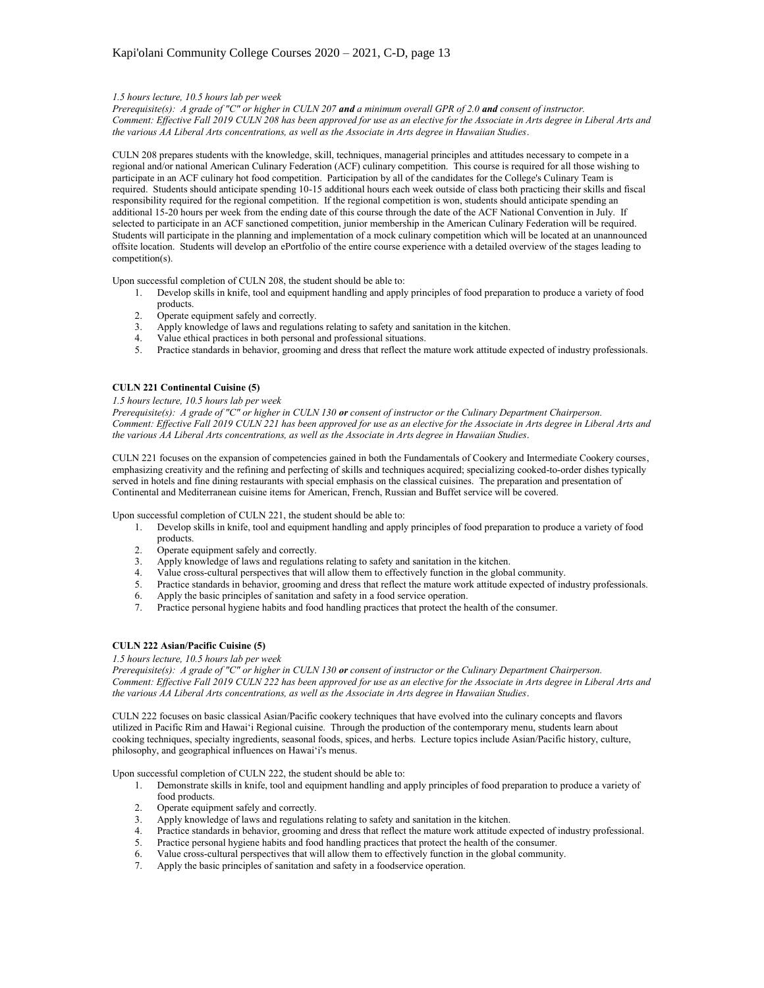## *1.5 hours lecture, 10.5 hours lab per week*

*Prerequisite(s): A grade of "C" or higher in CULN 207 and a minimum overall GPR of 2.0 and consent of instructor. Comment: Effective Fall 2019 CULN 208 has been approved for use as an elective for the Associate in Arts degree in Liberal Arts and the various AA Liberal Arts concentrations, as well as the Associate in Arts degree in Hawaiian Studies*.

CULN 208 prepares students with the knowledge, skill, techniques, managerial principles and attitudes necessary to compete in a regional and/or national American Culinary Federation (ACF) culinary competition. This course is required for all those wishing to participate in an ACF culinary hot food competition. Participation by all of the candidates for the College's Culinary Team is required. Students should anticipate spending 10-15 additional hours each week outside of class both practicing their skills and fiscal responsibility required for the regional competition. If the regional competition is won, students should anticipate spending an additional 15-20 hours per week from the ending date of this course through the date of the ACF National Convention in July. If selected to participate in an ACF sanctioned competition, junior membership in the American Culinary Federation will be required. Students will participate in the planning and implementation of a mock culinary competition which will be located at an unannounced offsite location. Students will develop an ePortfolio of the entire course experience with a detailed overview of the stages leading to competition(s).

Upon successful completion of CULN 208, the student should be able to:

- 1. Develop skills in knife, tool and equipment handling and apply principles of food preparation to produce a variety of food products.
- 2. Operate equipment safely and correctly.
- 3. Apply knowledge of laws and regulations relating to safety and sanitation in the kitchen.
- 4. Value ethical practices in both personal and professional situations.
- 5. Practice standards in behavior, grooming and dress that reflect the mature work attitude expected of industry professionals.

# **CULN 221 Continental Cuisine (5)**

### *1.5 hours lecture, 10.5 hours lab per week*

*Prerequisite(s): A grade of "C" or higher in CULN 130 or consent of instructor or the Culinary Department Chairperson. Comment: Effective Fall 2019 CULN 221 has been approved for use as an elective for the Associate in Arts degree in Liberal Arts and the various AA Liberal Arts concentrations, as well as the Associate in Arts degree in Hawaiian Studies*.

CULN 221 focuses on the expansion of competencies gained in both the Fundamentals of Cookery and Intermediate Cookery courses, emphasizing creativity and the refining and perfecting of skills and techniques acquired; specializing cooked-to-order dishes typically served in hotels and fine dining restaurants with special emphasis on the classical cuisines. The preparation and presentation of Continental and Mediterranean cuisine items for American, French, Russian and Buffet service will be covered.

Upon successful completion of CULN 221, the student should be able to:

- 1. Develop skills in knife, tool and equipment handling and apply principles of food preparation to produce a variety of food products.
	- 2. Operate equipment safely and correctly.
	- 3. Apply knowledge of laws and regulations relating to safety and sanitation in the kitchen.
	- 4. Value cross-cultural perspectives that will allow them to effectively function in the global community.
- 5. Practice standards in behavior, grooming and dress that reflect the mature work attitude expected of industry professionals.
- 6. Apply the basic principles of sanitation and safety in a food service operation.
- 7. Practice personal hygiene habits and food handling practices that protect the health of the consumer.

### **CULN 222 Asian/Pacific Cuisine (5)**

# *1.5 hours lecture, 10.5 hours lab per week*

*Prerequisite(s): A grade of "C" or higher in CULN 130 or consent of instructor or the Culinary Department Chairperson. Comment: Effective Fall 2019 CULN 222 has been approved for use as an elective for the Associate in Arts degree in Liberal Arts and the various AA Liberal Arts concentrations, as well as the Associate in Arts degree in Hawaiian Studies*.

CULN 222 focuses on basic classical Asian/Pacific cookery techniques that have evolved into the culinary concepts and flavors utilized in Pacific Rim and Hawai'i Regional cuisine. Through the production of the contemporary menu, students learn about cooking techniques, specialty ingredients, seasonal foods, spices, and herbs. Lecture topics include Asian/Pacific history, culture, philosophy, and geographical influences on Hawai'i's menus.

Upon successful completion of CULN 222, the student should be able to:

- 1. Demonstrate skills in knife, tool and equipment handling and apply principles of food preparation to produce a variety of food products.
- 2. Operate equipment safely and correctly.
- 3. Apply knowledge of laws and regulations relating to safety and sanitation in the kitchen.
- 4. Practice standards in behavior, grooming and dress that reflect the mature work attitude expected of industry professional.
- 5. Practice personal hygiene habits and food handling practices that protect the health of the consumer.
- 6. Value cross-cultural perspectives that will allow them to effectively function in the global community.
- 7. Apply the basic principles of sanitation and safety in a foodservice operation.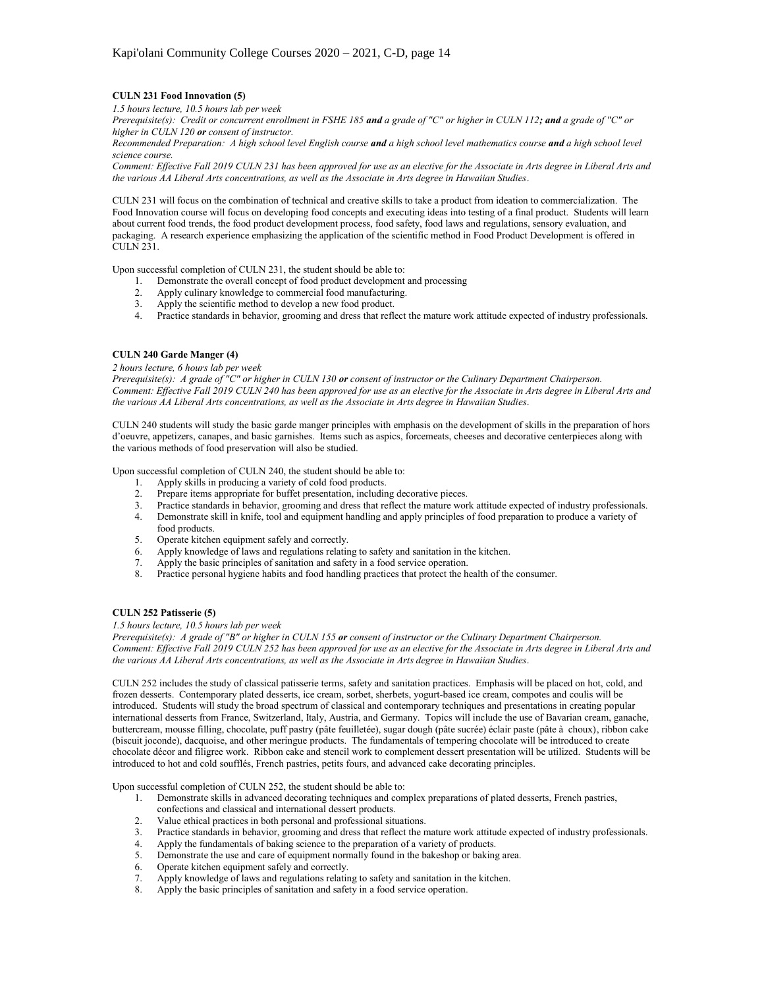# **CULN 231 Food Innovation (5)**

*1.5 hours lecture, 10.5 hours lab per week*

*Prerequisite(s): Credit or concurrent enrollment in FSHE 185 and a grade of "C" or higher in CULN 112; and a grade of "C" or higher in CULN 120 or consent of instructor.*

*Recommended Preparation: A high school level English course and a high school level mathematics course and a high school level science course.*

*Comment: Effective Fall 2019 CULN 231 has been approved for use as an elective for the Associate in Arts degree in Liberal Arts and the various AA Liberal Arts concentrations, as well as the Associate in Arts degree in Hawaiian Studies*.

CULN 231 will focus on the combination of technical and creative skills to take a product from ideation to commercialization. The Food Innovation course will focus on developing food concepts and executing ideas into testing of a final product. Students will learn about current food trends, the food product development process, food safety, food laws and regulations, sensory evaluation, and packaging. A research experience emphasizing the application of the scientific method in Food Product Development is offered in CULN 231.

Upon successful completion of CULN 231, the student should be able to:

- 1. Demonstrate the overall concept of food product development and processing
- 2. Apply culinary knowledge to commercial food manufacturing.
- 3. Apply the scientific method to develop a new food product.
- 4. Practice standards in behavior, grooming and dress that reflect the mature work attitude expected of industry professionals.

## **CULN 240 Garde Manger (4)**

# *2 hours lecture, 6 hours lab per week*

*Prerequisite(s): A grade of "C" or higher in CULN 130 or consent of instructor or the Culinary Department Chairperson. Comment: Effective Fall 2019 CULN 240 has been approved for use as an elective for the Associate in Arts degree in Liberal Arts and the various AA Liberal Arts concentrations, as well as the Associate in Arts degree in Hawaiian Studies*.

CULN 240 students will study the basic garde manger principles with emphasis on the development of skills in the preparation of hors d'oeuvre, appetizers, canapes, and basic garnishes. Items such as aspics, forcemeats, cheeses and decorative centerpieces along with the various methods of food preservation will also be studied.

Upon successful completion of CULN 240, the student should be able to:

- 1. Apply skills in producing a variety of cold food products.<br>2. Prepare items appropriate for buffet presentation, including
- 2. Prepare items appropriate for buffet presentation, including decorative pieces.<br>3. Practice standards in behavior, grooming and dress that reflect the mature wor
- 3. Practice standards in behavior, grooming and dress that reflect the mature work attitude expected of industry professionals.
- 4. Demonstrate skill in knife, tool and equipment handling and apply principles of food preparation to produce a variety of food products.
- 5. Operate kitchen equipment safely and correctly.
- 6. Apply knowledge of laws and regulations relating to safety and sanitation in the kitchen.
- 7. Apply the basic principles of sanitation and safety in a food service operation.
- 8. Practice personal hygiene habits and food handling practices that protect the health of the consumer.

# **CULN 252 Patisserie (5)**

## *1.5 hours lecture, 10.5 hours lab per week*

*Prerequisite(s): A grade of "B" or higher in CULN 155 or consent of instructor or the Culinary Department Chairperson. Comment: Effective Fall 2019 CULN 252 has been approved for use as an elective for the Associate in Arts degree in Liberal Arts and the various AA Liberal Arts concentrations, as well as the Associate in Arts degree in Hawaiian Studies*.

CULN 252 includes the study of classical patisserie terms, safety and sanitation practices. Emphasis will be placed on hot, cold, and frozen desserts. Contemporary plated desserts, ice cream, sorbet, sherbets, yogurt-based ice cream, compotes and coulis will be introduced. Students will study the broad spectrum of classical and contemporary techniques and presentations in creating popular international desserts from France, Switzerland, Italy, Austria, and Germany. Topics will include the use of Bavarian cream, ganache, buttercream, mousse filling, chocolate, puff pastry (pâte feuilletée), sugar dough (pâte sucrée) éclair paste (pâte à choux), ribbon cake (biscuit joconde), dacquoise, and other meringue products. The fundamentals of tempering chocolate will be introduced to create chocolate décor and filigree work. Ribbon cake and stencil work to complement dessert presentation will be utilized. Students will be introduced to hot and cold soufflés, French pastries, petits fours, and advanced cake decorating principles.

Upon successful completion of CULN 252, the student should be able to:

- 1. Demonstrate skills in advanced decorating techniques and complex preparations of plated desserts, French pastries,
- confections and classical and international dessert products.
- 2. Value ethical practices in both personal and professional situations.
- 3. Practice standards in behavior, grooming and dress that reflect the mature work attitude expected of industry professionals.<br>4. Apply the fundamentals of baking science to the preparation of a variety of products.
- Apply the fundamentals of baking science to the preparation of a variety of products.
- 5. Demonstrate the use and care of equipment normally found in the bakeshop or baking area.
- 6. Operate kitchen equipment safely and correctly.
- 7. Apply knowledge of laws and regulations relating to safety and sanitation in the kitchen.
- Apply the basic principles of sanitation and safety in a food service operation.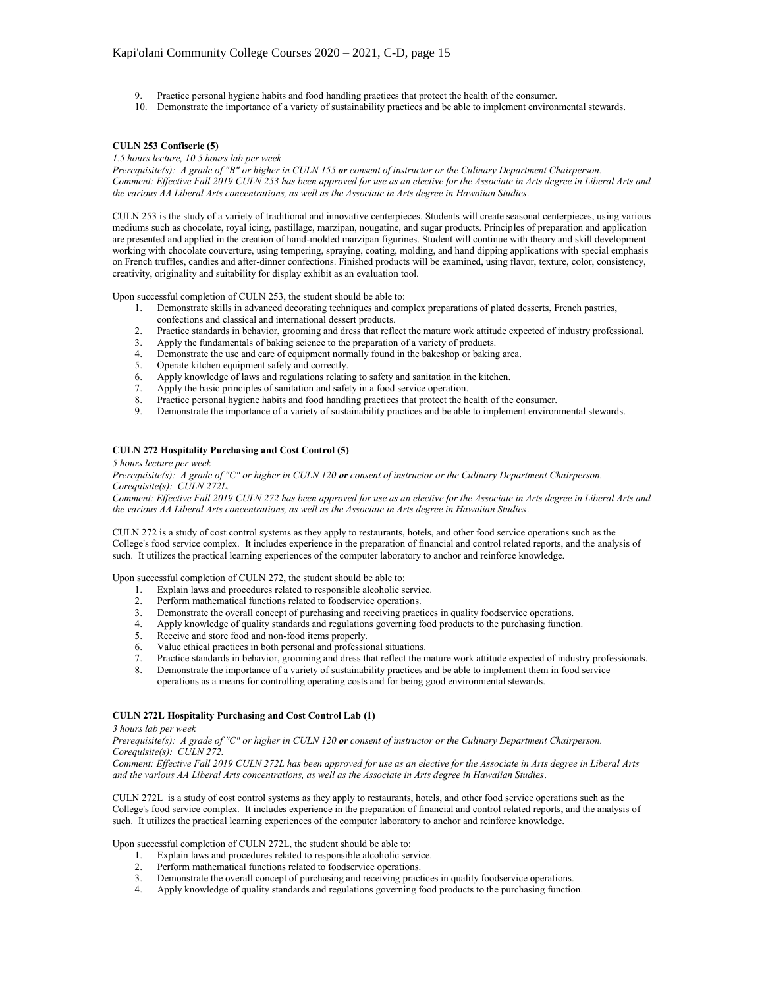- 9. Practice personal hygiene habits and food handling practices that protect the health of the consumer.
- 10. Demonstrate the importance of a variety of sustainability practices and be able to implement environmental stewards.

## **CULN 253 Confiserie (5)**

*1.5 hours lecture, 10.5 hours lab per week*

*Prerequisite(s): A grade of "B" or higher in CULN 155 or consent of instructor or the Culinary Department Chairperson. Comment: Effective Fall 2019 CULN 253 has been approved for use as an elective for the Associate in Arts degree in Liberal Arts and the various AA Liberal Arts concentrations, as well as the Associate in Arts degree in Hawaiian Studies*.

CULN 253 is the study of a variety of traditional and innovative centerpieces. Students will create seasonal centerpieces, using various mediums such as chocolate, royal icing, pastillage, marzipan, nougatine, and sugar products. Principles of preparation and application are presented and applied in the creation of hand-molded marzipan figurines. Student will continue with theory and skill development working with chocolate couverture, using tempering, spraying, coating, molding, and hand dipping applications with special emphasis on French truffles, candies and after-dinner confections. Finished products will be examined, using flavor, texture, color, consistency, creativity, originality and suitability for display exhibit as an evaluation tool.

Upon successful completion of CULN 253, the student should be able to:

- 1. Demonstrate skills in advanced decorating techniques and complex preparations of plated desserts, French pastries, confections and classical and international dessert products.
- 2. Practice standards in behavior, grooming and dress that reflect the mature work attitude expected of industry professional.
- 3. Apply the fundamentals of baking science to the preparation of a variety of products.
- 4. Demonstrate the use and care of equipment normally found in the bakeshop or baking area.
- 5. Operate kitchen equipment safely and correctly.<br>6. Apply knowledge of laws and regulations relating
- Apply knowledge of laws and regulations relating to safety and sanitation in the kitchen.
- 7. Apply the basic principles of sanitation and safety in a food service operation.
- 8. Practice personal hygiene habits and food handling practices that protect the health of the consumer.
- 9. Demonstrate the importance of a variety of sustainability practices and be able to implement environmental stewards.

### **CULN 272 Hospitality Purchasing and Cost Control (5)**

*5 hours lecture per week*

*Prerequisite(s): A grade of "C" or higher in CULN 120 or consent of instructor or the Culinary Department Chairperson. Corequisite(s): CULN 272L.*

*Comment: Effective Fall 2019 CULN 272 has been approved for use as an elective for the Associate in Arts degree in Liberal Arts and the various AA Liberal Arts concentrations, as well as the Associate in Arts degree in Hawaiian Studies*.

CULN 272 is a study of cost control systems as they apply to restaurants, hotels, and other food service operations such as the College's food service complex. It includes experience in the preparation of financial and control related reports, and the analysis of such. It utilizes the practical learning experiences of the computer laboratory to anchor and reinforce knowledge.

Upon successful completion of CULN 272, the student should be able to:

- 1. Explain laws and procedures related to responsible alcoholic service.
- 2. Perform mathematical functions related to foodservice operations.<br>3. Demonstrate the overall concept of purchasing and receiving pract
- Demonstrate the overall concept of purchasing and receiving practices in quality foodservice operations.
- 4. Apply knowledge of quality standards and regulations governing food products to the purchasing function.
- 5. Receive and store food and non-food items properly.
- 6. Value ethical practices in both personal and professional situations.<br>7. Practice standards in behavior, grooming and dress that reflect the n
- 
- 7. Practice standards in behavior, grooming and dress that reflect the mature work attitude expected of industry professionals. 8. Demonstrate the importance of a variety of sustainability practices and be able to implement them in food service operations as a means for controlling operating costs and for being good environmental stewards.

### **CULN 272L Hospitality Purchasing and Cost Control Lab (1)**

*3 hours lab per week*

*Prerequisite(s): A grade of "C" or higher in CULN 120 or consent of instructor or the Culinary Department Chairperson. Corequisite(s): CULN 272.*

*Comment: Effective Fall 2019 CULN 272L has been approved for use as an elective for the Associate in Arts degree in Liberal Arts and the various AA Liberal Arts concentrations, as well as the Associate in Arts degree in Hawaiian Studies*.

CULN 272L is a study of cost control systems as they apply to restaurants, hotels, and other food service operations such as the College's food service complex. It includes experience in the preparation of financial and control related reports, and the analysis of such. It utilizes the practical learning experiences of the computer laboratory to anchor and reinforce knowledge.

Upon successful completion of CULN 272L, the student should be able to:

- 1. Explain laws and procedures related to responsible alcoholic service.
- 2. Perform mathematical functions related to foodservice operations.
- 3. Demonstrate the overall concept of purchasing and receiving practices in quality foodservice operations.
- 4. Apply knowledge of quality standards and regulations governing food products to the purchasing function.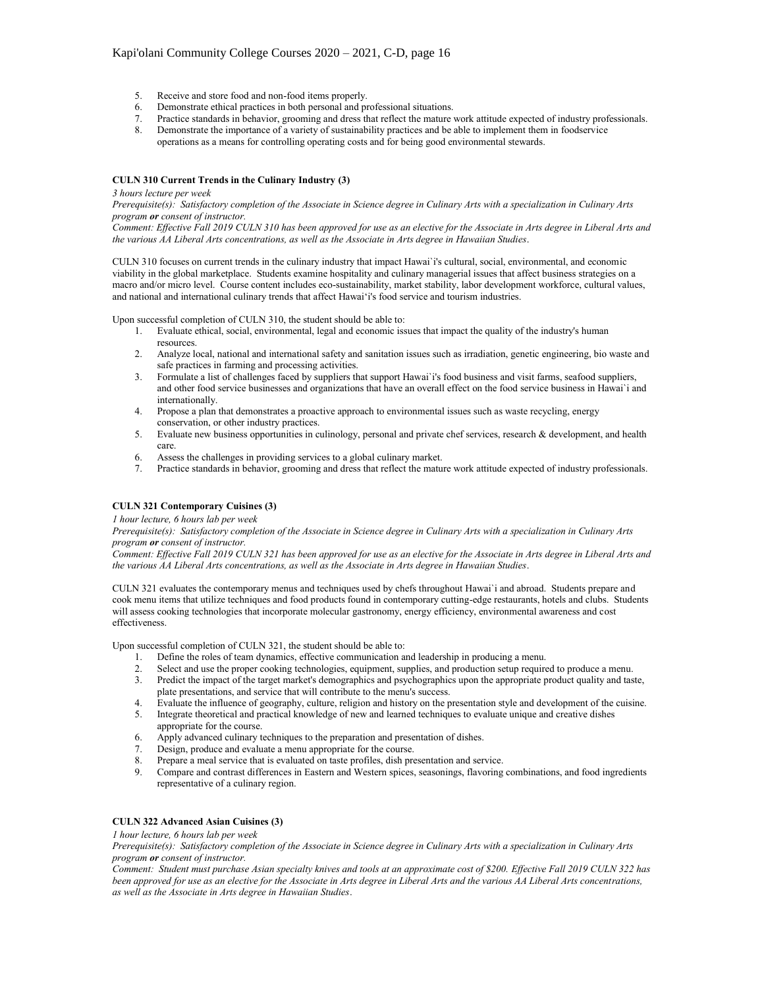# Kapi'olani Community College Courses 2020 – 2021, C-D, page 16

- 5. Receive and store food and non-food items properly.
- 
- 6. Demonstrate ethical practices in both personal and professional situations. 7. Practice standards in behavior, grooming and dress that reflect the mature work attitude expected of industry professionals.
- 8. Demonstrate the importance of a variety of sustainability practices and be able to implement them in foodservice operations as a means for controlling operating costs and for being good environmental stewards.

## **CULN 310 Current Trends in the Culinary Industry (3)**

#### *3 hours lecture per week*

*Prerequisite(s): Satisfactory completion of the Associate in Science degree in Culinary Arts with a specialization in Culinary Arts program or consent of instructor.*

*Comment: Effective Fall 2019 CULN 310 has been approved for use as an elective for the Associate in Arts degree in Liberal Arts and the various AA Liberal Arts concentrations, as well as the Associate in Arts degree in Hawaiian Studies*.

CULN 310 focuses on current trends in the culinary industry that impact Hawai`i's cultural, social, environmental, and economic viability in the global marketplace. Students examine hospitality and culinary managerial issues that affect business strategies on a macro and/or micro level. Course content includes eco-sustainability, market stability, labor development workforce, cultural values, and national and international culinary trends that affect Hawai'i's food service and tourism industries.

Upon successful completion of CULN 310, the student should be able to:

- 1. Evaluate ethical, social, environmental, legal and economic issues that impact the quality of the industry's human resources.
- 2. Analyze local, national and international safety and sanitation issues such as irradiation, genetic engineering, bio waste and safe practices in farming and processing activities.
- 3. Formulate a list of challenges faced by suppliers that support Hawai`i's food business and visit farms, seafood suppliers, and other food service businesses and organizations that have an overall effect on the food service business in Hawai`i and internationally.
- 4. Propose a plan that demonstrates a proactive approach to environmental issues such as waste recycling, energy conservation, or other industry practices.
- 5. Evaluate new business opportunities in culinology, personal and private chef services, research & development, and health care.
- 6. Assess the challenges in providing services to a global culinary market.
- 7. Practice standards in behavior, grooming and dress that reflect the mature work attitude expected of industry professionals.

# **CULN 321 Contemporary Cuisines (3)**

*1 hour lecture, 6 hours lab per week*

*Prerequisite(s): Satisfactory completion of the Associate in Science degree in Culinary Arts with a specialization in Culinary Arts program or consent of instructor.*

*Comment: Effective Fall 2019 CULN 321 has been approved for use as an elective for the Associate in Arts degree in Liberal Arts and the various AA Liberal Arts concentrations, as well as the Associate in Arts degree in Hawaiian Studies*.

CULN 321 evaluates the contemporary menus and techniques used by chefs throughout Hawai`i and abroad. Students prepare and cook menu items that utilize techniques and food products found in contemporary cutting-edge restaurants, hotels and clubs. Students will assess cooking technologies that incorporate molecular gastronomy, energy efficiency, environmental awareness and cost effectiveness.

Upon successful completion of CULN 321, the student should be able to:

- 1. Define the roles of team dynamics, effective communication and leadership in producing a menu.
- 2. Select and use the proper cooking technologies, equipment, supplies, and production setup required to produce a menu.
- 3. Predict the impact of the target market's demographics and psychographics upon the appropriate product quality and taste, plate presentations, and service that will contribute to the menu's success.
- 4. Evaluate the influence of geography, culture, religion and history on the presentation style and development of the cuisine.
- 5. Integrate theoretical and practical knowledge of new and learned techniques to evaluate unique and creative dishes appropriate for the course.
- 6. Apply advanced culinary techniques to the preparation and presentation of dishes.<br>7. Design, produce and evaluate a menu appropriate for the course.
- Design, produce and evaluate a menu appropriate for the course.
- 8. Prepare a meal service that is evaluated on taste profiles, dish presentation and service.
- 9. Compare and contrast differences in Eastern and Western spices, seasonings, flavoring combinations, and food ingredients representative of a culinary region.

## **CULN 322 Advanced Asian Cuisines (3)**

*1 hour lecture, 6 hours lab per week*

*Prerequisite(s): Satisfactory completion of the Associate in Science degree in Culinary Arts with a specialization in Culinary Arts program or consent of instructor.*

*Comment: Student must purchase Asian specialty knives and tools at an approximate cost of \$200. Effective Fall 2019 CULN 322 has been approved for use as an elective for the Associate in Arts degree in Liberal Arts and the various AA Liberal Arts concentrations, as well as the Associate in Arts degree in Hawaiian Studies*.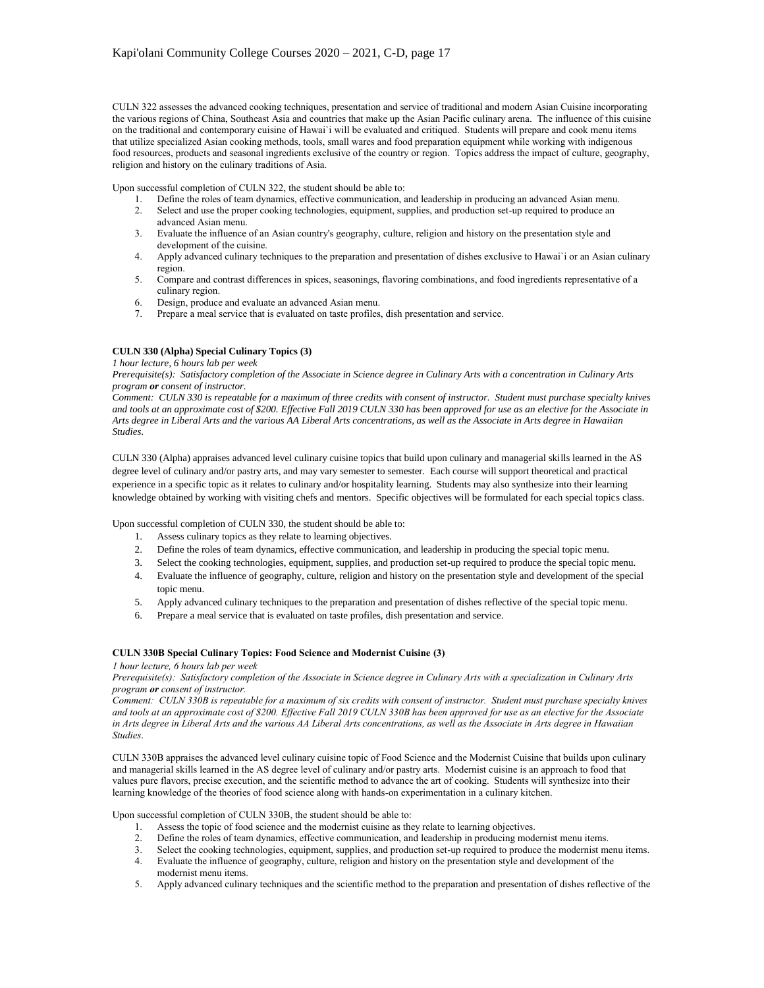CULN 322 assesses the advanced cooking techniques, presentation and service of traditional and modern Asian Cuisine incorporating the various regions of China, Southeast Asia and countries that make up the Asian Pacific culinary arena. The influence of this cuisine on the traditional and contemporary cuisine of Hawai`i will be evaluated and critiqued. Students will prepare and cook menu items that utilize specialized Asian cooking methods, tools, small wares and food preparation equipment while working with indigenous food resources, products and seasonal ingredients exclusive of the country or region. Topics address the impact of culture, geography, religion and history on the culinary traditions of Asia.

Upon successful completion of CULN 322, the student should be able to:

- 1. Define the roles of team dynamics, effective communication, and leadership in producing an advanced Asian menu.
- 2. Select and use the proper cooking technologies, equipment, supplies, and production set-up required to produce an advanced Asian menu.
- 3. Evaluate the influence of an Asian country's geography, culture, religion and history on the presentation style and development of the cuisine.
- 4. Apply advanced culinary techniques to the preparation and presentation of dishes exclusive to Hawai`i or an Asian culinary region.
- 5. Compare and contrast differences in spices, seasonings, flavoring combinations, and food ingredients representative of a culinary region.
- 6. Design, produce and evaluate an advanced Asian menu.
- 7. Prepare a meal service that is evaluated on taste profiles, dish presentation and service.

# **CULN 330 (Alpha) Special Culinary Topics (3)**

*1 hour lecture, 6 hours lab per week*

*Prerequisite(s): Satisfactory completion of the Associate in Science degree in Culinary Arts with a concentration in Culinary Arts program or consent of instructor.*

*Comment: CULN 330 is repeatable for a maximum of three credits with consent of instructor. Student must purchase specialty knives and tools at an approximate cost of \$200. Effective Fall 2019 CULN 330 has been approved for use as an elective for the Associate in Arts degree in Liberal Arts and the various AA Liberal Arts concentrations, as well as the Associate in Arts degree in Hawaiian Studies*.

CULN 330 (Alpha) appraises advanced level culinary cuisine topics that build upon culinary and managerial skills learned in the AS degree level of culinary and/or pastry arts, and may vary semester to semester. Each course will support theoretical and practical experience in a specific topic as it relates to culinary and/or hospitality learning. Students may also synthesize into their learning knowledge obtained by working with visiting chefs and mentors. Specific objectives will be formulated for each special topics class.

Upon successful completion of CULN 330, the student should be able to:

- 1. Assess culinary topics as they relate to learning objectives.
- 2. Define the roles of team dynamics, effective communication, and leadership in producing the special topic menu.
- 3. Select the cooking technologies, equipment, supplies, and production set-up required to produce the special topic menu.
- 4. Evaluate the influence of geography, culture, religion and history on the presentation style and development of the special topic menu.
- 5. Apply advanced culinary techniques to the preparation and presentation of dishes reflective of the special topic menu.
- 6. Prepare a meal service that is evaluated on taste profiles, dish presentation and service.

### **CULN 330B Special Culinary Topics: Food Science and Modernist Cuisine (3)**

*1 hour lecture, 6 hours lab per week*

*Prerequisite(s): Satisfactory completion of the Associate in Science degree in Culinary Arts with a specialization in Culinary Arts program or consent of instructor.*

*Comment: CULN 330B is repeatable for a maximum of six credits with consent of instructor. Student must purchase specialty knives and tools at an approximate cost of \$200. Effective Fall 2019 CULN 330B has been approved for use as an elective for the Associate in Arts degree in Liberal Arts and the various AA Liberal Arts concentrations, as well as the Associate in Arts degree in Hawaiian Studies*.

CULN 330B appraises the advanced level culinary cuisine topic of Food Science and the Modernist Cuisine that builds upon culinary and managerial skills learned in the AS degree level of culinary and/or pastry arts. Modernist cuisine is an approach to food that values pure flavors, precise execution, and the scientific method to advance the art of cooking. Students will synthesize into their learning knowledge of the theories of food science along with hands-on experimentation in a culinary kitchen.

Upon successful completion of CULN 330B, the student should be able to:

- 1. Assess the topic of food science and the modernist cuisine as they relate to learning objectives.
- 2. Define the roles of team dynamics, effective communication, and leadership in producing modernist menu items.
- Select the cooking technologies, equipment, supplies, and production set-up required to produce the modernist menu items.
- 3. Select the cooking technologies, equipment, supplies, and production set-up required to produce the modernist mer<br>4. Evaluate the influence of geography, culture, religion and history on the presentation style and devel modernist menu items.
- 5. Apply advanced culinary techniques and the scientific method to the preparation and presentation of dishes reflective of the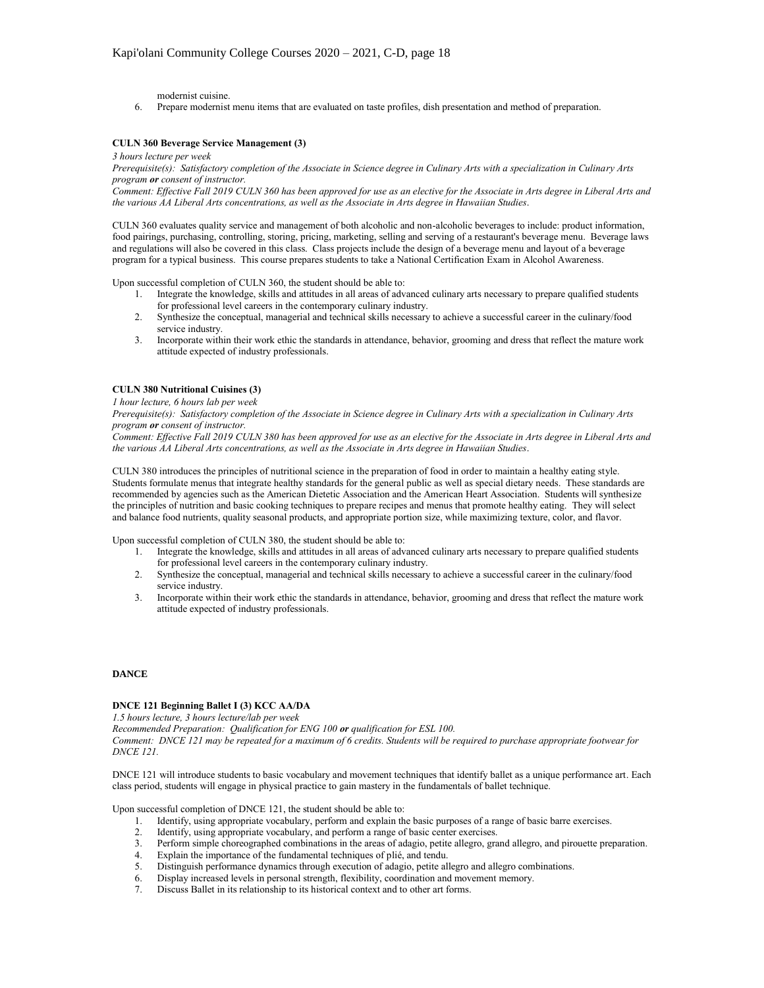modernist cuisine.

6. Prepare modernist menu items that are evaluated on taste profiles, dish presentation and method of preparation.

### **CULN 360 Beverage Service Management (3)**

*3 hours lecture per week*

*Prerequisite(s): Satisfactory completion of the Associate in Science degree in Culinary Arts with a specialization in Culinary Arts program or consent of instructor.*

*Comment: Effective Fall 2019 CULN 360 has been approved for use as an elective for the Associate in Arts degree in Liberal Arts and the various AA Liberal Arts concentrations, as well as the Associate in Arts degree in Hawaiian Studies*.

CULN 360 evaluates quality service and management of both alcoholic and non-alcoholic beverages to include: product information, food pairings, purchasing, controlling, storing, pricing, marketing, selling and serving of a restaurant's beverage menu. Beverage laws and regulations will also be covered in this class. Class projects include the design of a beverage menu and layout of a beverage program for a typical business. This course prepares students to take a National Certification Exam in Alcohol Awareness.

Upon successful completion of CULN 360, the student should be able to:

- 1. Integrate the knowledge, skills and attitudes in all areas of advanced culinary arts necessary to prepare qualified students for professional level careers in the contemporary culinary industry.
- 2. Synthesize the conceptual, managerial and technical skills necessary to achieve a successful career in the culinary/food service industry.
- 3. Incorporate within their work ethic the standards in attendance, behavior, grooming and dress that reflect the mature work attitude expected of industry professionals.

# **CULN 380 Nutritional Cuisines (3)**

*1 hour lecture, 6 hours lab per week*

*Prerequisite(s): Satisfactory completion of the Associate in Science degree in Culinary Arts with a specialization in Culinary Arts program or consent of instructor.*

*Comment: Effective Fall 2019 CULN 380 has been approved for use as an elective for the Associate in Arts degree in Liberal Arts and the various AA Liberal Arts concentrations, as well as the Associate in Arts degree in Hawaiian Studies*.

CULN 380 introduces the principles of nutritional science in the preparation of food in order to maintain a healthy eating style. Students formulate menus that integrate healthy standards for the general public as well as special dietary needs. These standards are recommended by agencies such as the American Dietetic Association and the American Heart Association. Students will synthesize the principles of nutrition and basic cooking techniques to prepare recipes and menus that promote healthy eating. They will select and balance food nutrients, quality seasonal products, and appropriate portion size, while maximizing texture, color, and flavor.

Upon successful completion of CULN 380, the student should be able to:

- 1. Integrate the knowledge, skills and attitudes in all areas of advanced culinary arts necessary to prepare qualified students for professional level careers in the contemporary culinary industry.
- 2. Synthesize the conceptual, managerial and technical skills necessary to achieve a successful career in the culinary/food service industry.
- 3. Incorporate within their work ethic the standards in attendance, behavior, grooming and dress that reflect the mature work attitude expected of industry professionals.

# **DANCE**

# **DNCE 121 Beginning Ballet I (3) KCC AA/DA**

*1.5 hours lecture, 3 hours lecture/lab per week*

*Recommended Preparation: Qualification for ENG 100 or qualification for ESL 100.*

*Comment: DNCE 121 may be repeated for a maximum of 6 credits. Students will be required to purchase appropriate footwear for DNCE 121.*

DNCE 121 will introduce students to basic vocabulary and movement techniques that identify ballet as a unique performance art. Each class period, students will engage in physical practice to gain mastery in the fundamentals of ballet technique.

Upon successful completion of DNCE 121, the student should be able to:

- 1. Identify, using appropriate vocabulary, perform and explain the basic purposes of a range of basic barre exercises.
- 2. Identify, using appropriate vocabulary, and perform a range of basic center exercises.<br>3. Perform simple choreographed combinations in the areas of adagio, petite allegro, gra
- 3. Perform simple choreographed combinations in the areas of adagio, petite allegro, grand allegro, and pirouette preparation.
- Explain the importance of the fundamental techniques of plié, and tendu.
- 5. Distinguish performance dynamics through execution of adagio, petite allegro and allegro combinations.
- 6. Display increased levels in personal strength, flexibility, coordination and movement memory.
- 7. Discuss Ballet in its relationship to its historical context and to other art forms.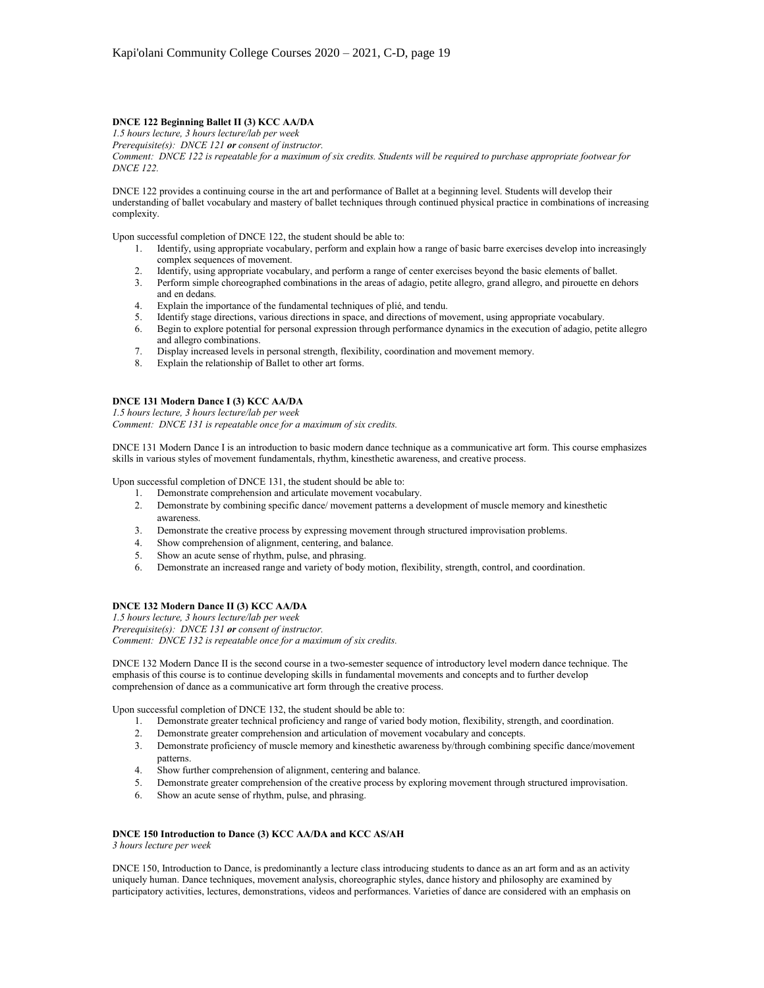# **DNCE 122 Beginning Ballet II (3) KCC AA/DA**

*1.5 hours lecture, 3 hours lecture/lab per week Prerequisite(s): DNCE 121 or consent of instructor.*

*Comment: DNCE 122 is repeatable for a maximum of six credits. Students will be required to purchase appropriate footwear for DNCE 122.*

DNCE 122 provides a continuing course in the art and performance of Ballet at a beginning level. Students will develop their understanding of ballet vocabulary and mastery of ballet techniques through continued physical practice in combinations of increasing complexity.

Upon successful completion of DNCE 122, the student should be able to:

- 1. Identify, using appropriate vocabulary, perform and explain how a range of basic barre exercises develop into increasingly complex sequences of movement.
- 2. Identify, using appropriate vocabulary, and perform a range of center exercises beyond the basic elements of ballet.
- 3. Perform simple choreographed combinations in the areas of adagio, petite allegro, grand allegro, and pirouette en dehors and en dedans.
- 4. Explain the importance of the fundamental techniques of plié, and tendu.
- 5. Identify stage directions, various directions in space, and directions of movement, using appropriate vocabulary.<br>6. Begin to explore potential for personal expression through performance dynamics in the execution of ad
- 6. Begin to explore potential for personal expression through performance dynamics in the execution of adagio, petite allegro and allegro combinations.
- 7. Display increased levels in personal strength, flexibility, coordination and movement memory.
- 8. Explain the relationship of Ballet to other art forms.

# **DNCE 131 Modern Dance I (3) KCC AA/DA**

*1.5 hours lecture, 3 hours lecture/lab per week*

*Comment: DNCE 131 is repeatable once for a maximum of six credits.*

DNCE 131 Modern Dance I is an introduction to basic modern dance technique as a communicative art form. This course emphasizes skills in various styles of movement fundamentals, rhythm, kinesthetic awareness, and creative process.

Upon successful completion of DNCE 131, the student should be able to:

- 1. Demonstrate comprehension and articulate movement vocabulary.
- 2. Demonstrate by combining specific dance/ movement patterns a development of muscle memory and kinesthetic awareness.
- 3. Demonstrate the creative process by expressing movement through structured improvisation problems.
- 4. Show comprehension of alignment, centering, and balance.
- 5. Show an acute sense of rhythm, pulse, and phrasing.
- 6. Demonstrate an increased range and variety of body motion, flexibility, strength, control, and coordination.

## **DNCE 132 Modern Dance II (3) KCC AA/DA**

*1.5 hours lecture, 3 hours lecture/lab per week*

*Prerequisite(s): DNCE 131 or consent of instructor.*

*Comment: DNCE 132 is repeatable once for a maximum of six credits.*

DNCE 132 Modern Dance II is the second course in a two-semester sequence of introductory level modern dance technique. The emphasis of this course is to continue developing skills in fundamental movements and concepts and to further develop comprehension of dance as a communicative art form through the creative process.

Upon successful completion of DNCE 132, the student should be able to:

- 1. Demonstrate greater technical proficiency and range of varied body motion, flexibility, strength, and coordination.
- 2. Demonstrate greater comprehension and articulation of movement vocabulary and concepts.
- 3. Demonstrate proficiency of muscle memory and kinesthetic awareness by/through combining specific dance/movement patterns.
- 4. Show further comprehension of alignment, centering and balance.
- 5. Demonstrate greater comprehension of the creative process by exploring movement through structured improvisation.
- 6. Show an acute sense of rhythm, pulse, and phrasing.

### **DNCE 150 Introduction to Dance (3) KCC AA/DA and KCC AS/AH**

*3 hours lecture per week*

DNCE 150, Introduction to Dance, is predominantly a lecture class introducing students to dance as an art form and as an activity uniquely human. Dance techniques, movement analysis, choreographic styles, dance history and philosophy are examined by participatory activities, lectures, demonstrations, videos and performances. Varieties of dance are considered with an emphasis on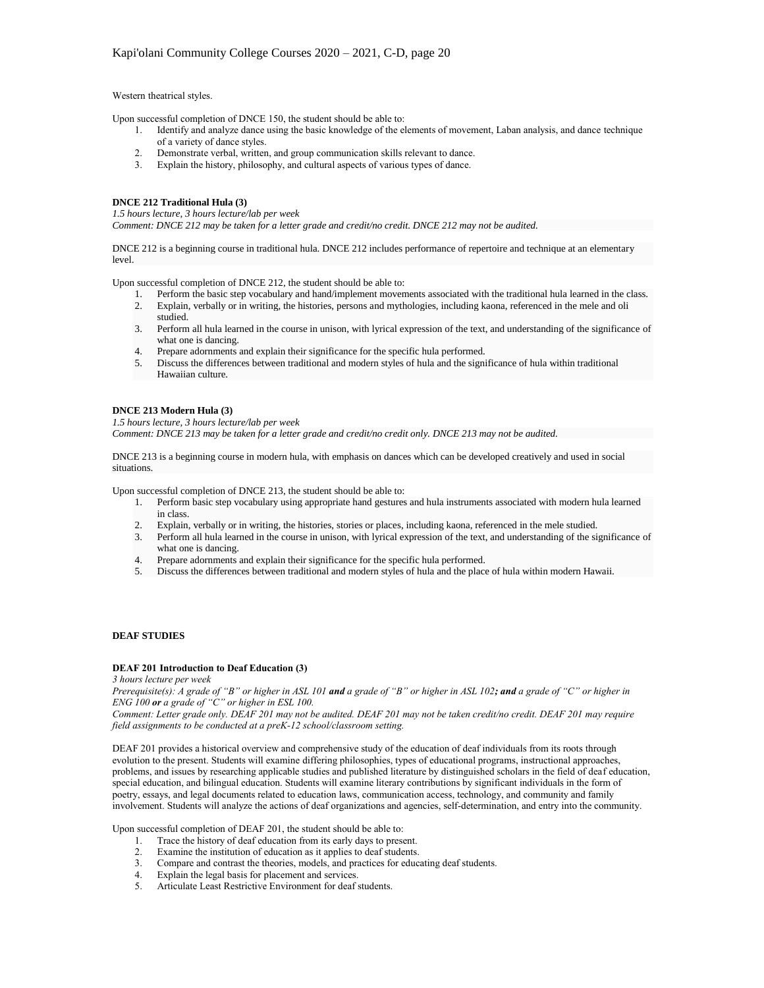#### Western theatrical styles.

Upon successful completion of DNCE 150, the student should be able to:

- 1. Identify and analyze dance using the basic knowledge of the elements of movement, Laban analysis, and dance technique of a variety of dance styles.
	- 2. Demonstrate verbal, written, and group communication skills relevant to dance.
	- 3. Explain the history, philosophy, and cultural aspects of various types of dance.

# **DNCE 212 Traditional Hula (3)**

*1.5 hours lecture, 3 hours lecture/lab per week*

*Comment: DNCE 212 may be taken for a letter grade and credit/no credit. DNCE 212 may not be audited.*

DNCE 212 is a beginning course in traditional hula. DNCE 212 includes performance of repertoire and technique at an elementary level.

Upon successful completion of DNCE 212, the student should be able to:

- 1. Perform the basic step vocabulary and hand/implement movements associated with the traditional hula learned in the class.
- 2. Explain, verbally or in writing, the histories, persons and mythologies, including kaona, referenced in the mele and oli studied.
- 3. Perform all hula learned in the course in unison, with lyrical expression of the text, and understanding of the significance of what one is dancing.
- 4. Prepare adornments and explain their significance for the specific hula performed.
- 5. Discuss the differences between traditional and modern styles of hula and the significance of hula within traditional Hawaiian culture.

# **DNCE 213 Modern Hula (3)**

*1.5 hours lecture, 3 hours lecture/lab per week Comment: DNCE 213 may be taken for a letter grade and credit/no credit only. DNCE 213 may not be audited.*

DNCE 213 is a beginning course in modern hula, with emphasis on dances which can be developed creatively and used in social situations.

Upon successful completion of DNCE 213, the student should be able to:

- 1. Perform basic step vocabulary using appropriate hand gestures and hula instruments associated with modern hula learned in class.
- 2. Explain, verbally or in writing, the histories, stories or places, including kaona, referenced in the mele studied.
- 3. Perform all hula learned in the course in unison, with lyrical expression of the text, and understanding of the significance of what one is dancing.
- 4. Prepare adornments and explain their significance for the specific hula performed.
- 5. Discuss the differences between traditional and modern styles of hula and the place of hula within modern Hawaii.

## **DEAF STUDIES**

#### **DEAF 201 Introduction to Deaf Education (3)**

*3 hours lecture per week*

*Prerequisite(s): A grade of "B" or higher in ASL 101 and a grade of "B" or higher in ASL 102; and a grade of "C" or higher in ENG 100 or a grade of "C" or higher in ESL 100.*

*Comment: Letter grade only. DEAF 201 may not be audited. DEAF 201 may not be taken credit/no credit. DEAF 201 may require field assignments to be conducted at a preK-12 school/classroom setting.*

DEAF 201 provides a historical overview and comprehensive study of the education of deaf individuals from its roots through evolution to the present. Students will examine differing philosophies, types of educational programs, instructional approaches, problems, and issues by researching applicable studies and published literature by distinguished scholars in the field of deaf education, special education, and bilingual education. Students will examine literary contributions by significant individuals in the form of poetry, essays, and legal documents related to education laws, communication access, technology, and community and family involvement. Students will analyze the actions of deaf organizations and agencies, self-determination, and entry into the community.

Upon successful completion of DEAF 201, the student should be able to:

- 1. Trace the history of deaf education from its early days to present.
- 2. Examine the institution of education as it applies to deaf students.
- 3. Compare and contrast the theories, models, and practices for educating deaf students.
- 4. Explain the legal basis for placement and services.
- 5. Articulate Least Restrictive Environment for deaf students.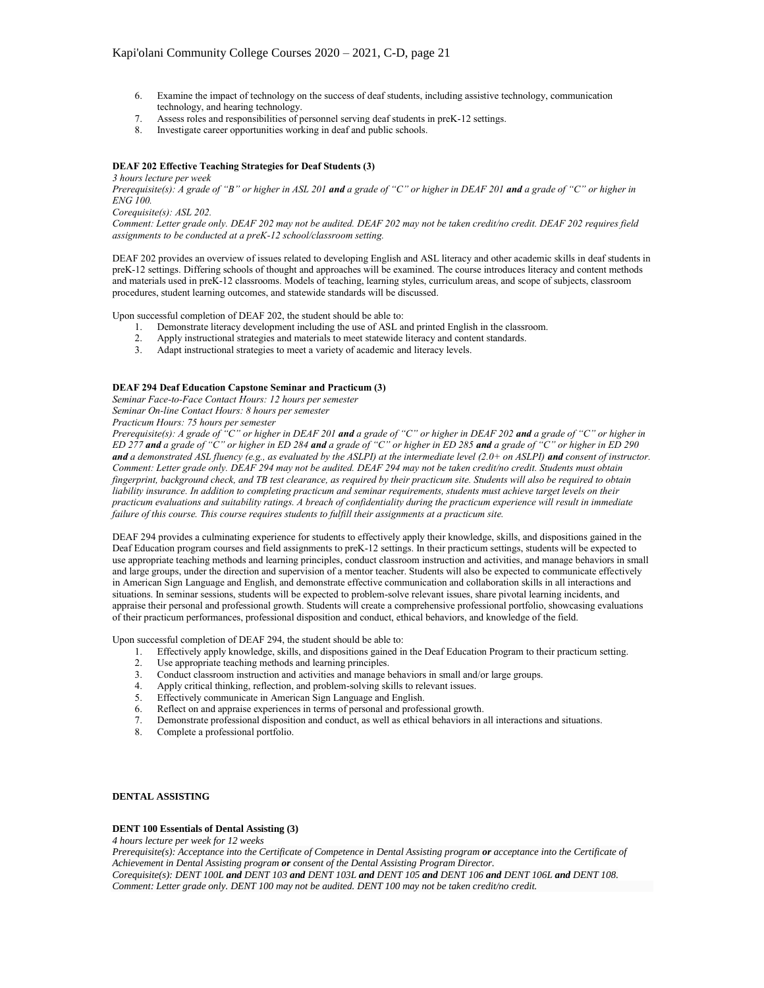- 6. Examine the impact of technology on the success of deaf students, including assistive technology, communication technology, and hearing technology.
- 7. Assess roles and responsibilities of personnel serving deaf students in preK-12 settings.
- Investigate career opportunities working in deaf and public schools.

# **DEAF 202 Effective Teaching Strategies for Deaf Students (3)**

*3 hours lecture per week*

*Prerequisite(s): A grade of "B" or higher in ASL 201 and a grade of "C" or higher in DEAF 201 and a grade of "C" or higher in ENG 100.*

*Corequisite(s): ASL 202.*

*Comment: Letter grade only. DEAF 202 may not be audited. DEAF 202 may not be taken credit/no credit. DEAF 202 requires field assignments to be conducted at a preK-12 school/classroom setting.*

DEAF 202 provides an overview of issues related to developing English and ASL literacy and other academic skills in deaf students in preK-12 settings. Differing schools of thought and approaches will be examined. The course introduces literacy and content methods and materials used in preK-12 classrooms. Models of teaching, learning styles, curriculum areas, and scope of subjects, classroom procedures, student learning outcomes, and statewide standards will be discussed.

Upon successful completion of DEAF 202, the student should be able to:

- 1. Demonstrate literacy development including the use of ASL and printed English in the classroom.
- 2. Apply instructional strategies and materials to meet statewide literacy and content standards.
- 3. Adapt instructional strategies to meet a variety of academic and literacy levels.

### **DEAF 294 Deaf Education Capstone Seminar and Practicum (3)**

*Seminar Face-to-Face Contact Hours: 12 hours per semester Seminar On-line Contact Hours: 8 hours per semester*

*Practicum Hours: 75 hours per semester*

*Prerequisite(s): A grade of "C" or higher in DEAF 201 and a grade of "C" or higher in DEAF 202 and a grade of "C" or higher in ED 277 and a grade of "C" or higher in ED 284 and a grade of "C" or higher in ED 285 and a grade of "C" or higher in ED 290 and a demonstrated ASL fluency (e.g., as evaluated by the ASLPI) at the intermediate level (2.0+ on ASLPI) and consent of instructor. Comment: Letter grade only. DEAF 294 may not be audited. DEAF 294 may not be taken credit/no credit. Students must obtain fingerprint, background check, and TB test clearance, as required by their practicum site. Students will also be required to obtain*  liability insurance. In addition to completing practicum and seminar requirements, students must achieve target levels on their *practicum evaluations and suitability ratings. A breach of confidentiality during the practicum experience will result in immediate failure of this course. This course requires students to fulfill their assignments at a practicum site.*

DEAF 294 provides a culminating experience for students to effectively apply their knowledge, skills, and dispositions gained in the Deaf Education program courses and field assignments to preK-12 settings. In their practicum settings, students will be expected to use appropriate teaching methods and learning principles, conduct classroom instruction and activities, and manage behaviors in small and large groups, under the direction and supervision of a mentor teacher. Students will also be expected to communicate effectively in American Sign Language and English, and demonstrate effective communication and collaboration skills in all interactions and situations. In seminar sessions, students will be expected to problem-solve relevant issues, share pivotal learning incidents, and appraise their personal and professional growth. Students will create a comprehensive professional portfolio, showcasing evaluations of their practicum performances, professional disposition and conduct, ethical behaviors, and knowledge of the field.

Upon successful completion of DEAF 294, the student should be able to:

- 1. Effectively apply knowledge, skills, and dispositions gained in the Deaf Education Program to their practicum setting.
- 2. Use appropriate teaching methods and learning principles.
- 3. Conduct classroom instruction and activities and manage behaviors in small and/or large groups.
- 4. Apply critical thinking, reflection, and problem-solving skills to relevant issues.
- 5. Effectively communicate in American Sign Language and English.
- 6. Reflect on and appraise experiences in terms of personal and professional growth.
- 7. Demonstrate professional disposition and conduct, as well as ethical behaviors in all interactions and situations.
- 8. Complete a professional portfolio.

#### **DENTAL ASSISTING**

### **DENT 100 Essentials of Dental Assisting (3)**

*4 hours lecture per week for 12 weeks*

*Prerequisite(s): Acceptance into the Certificate of Competence in Dental Assisting program or acceptance into the Certificate of Achievement in Dental Assisting program or consent of the Dental Assisting Program Director.* 

*Corequisite(s): DENT 100L and DENT 103 and DENT 103L and DENT 105 and DENT 106 and DENT 106L and DENT 108. Comment: Letter grade only. DENT 100 may not be audited. DENT 100 may not be taken credit/no credit.*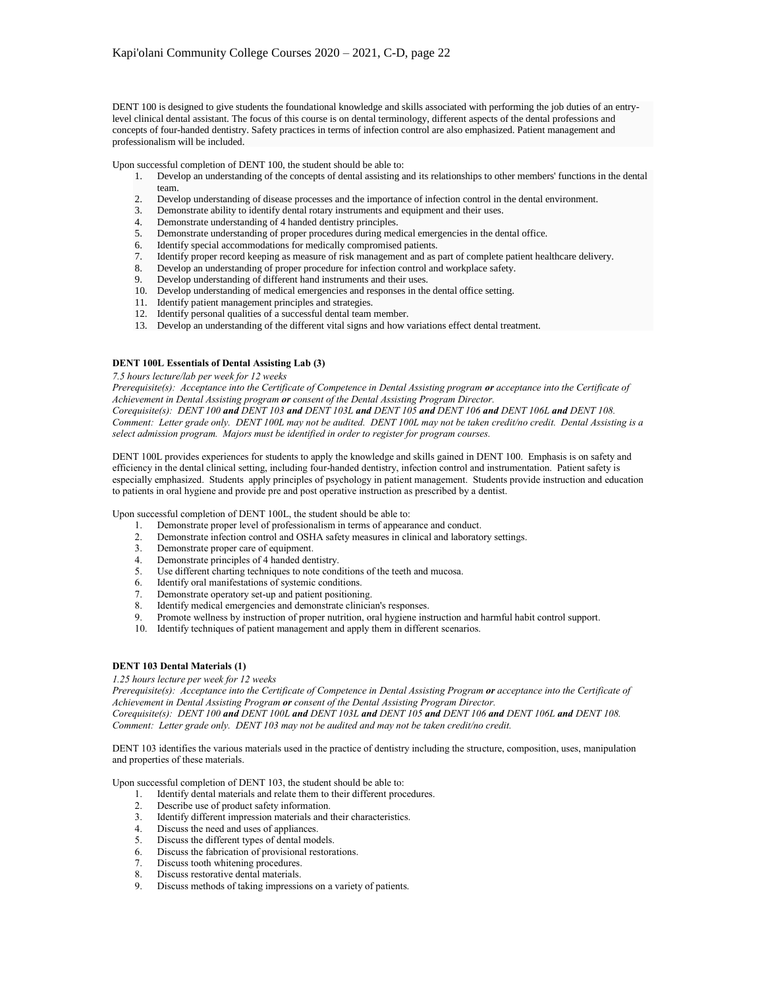DENT 100 is designed to give students the foundational knowledge and skills associated with performing the job duties of an entrylevel clinical dental assistant. The focus of this course is on dental terminology, different aspects of the dental professions and concepts of four-handed dentistry. Safety practices in terms of infection control are also emphasized. Patient management and professionalism will be included.

Upon successful completion of DENT 100, the student should be able to:

- 1. Develop an understanding of the concepts of dental assisting and its relationships to other members' functions in the dental team.
- 2. Develop understanding of disease processes and the importance of infection control in the dental environment.
- 3. Demonstrate ability to identify dental rotary instruments and equipment and their uses.
- 4. Demonstrate understanding of 4 handed dentistry principles.
- 5. Demonstrate understanding of proper procedures during medical emergencies in the dental office.<br>6. Identify special accommodations for medically compromised patients.
- Identify special accommodations for medically compromised patients.
- 7. Identify proper record keeping as measure of risk management and as part of complete patient healthcare delivery.<br>8. Develop an understanding of proper procedure for infection control and workplace safety.
- 8. Develop an understanding of proper procedure for infection control and workplace safety.
- 9. Develop understanding of different hand instruments and their uses.
- 10. Develop understanding of medical emergencies and responses in the dental office setting.
- 11. Identify patient management principles and strategies.
- 12. Identify personal qualities of a successful dental team member.
- 13. Develop an understanding of the different vital signs and how variations effect dental treatment.

## **DENT 100L Essentials of Dental Assisting Lab (3)**

*7.5 hours lecture/lab per week for 12 weeks*

*Prerequisite(s): Acceptance into the Certificate of Competence in Dental Assisting program or acceptance into the Certificate of Achievement in Dental Assisting program or consent of the Dental Assisting Program Director.*

*Corequisite(s): DENT 100 and DENT 103 and DENT 103L and DENT 105 and DENT 106 and DENT 106L and DENT 108. Comment: Letter grade only. DENT 100L may not be audited. DENT 100L may not be taken credit/no credit. Dental Assisting is a select admission program. Majors must be identified in order to register for program courses.*

DENT 100L provides experiences for students to apply the knowledge and skills gained in DENT 100. Emphasis is on safety and efficiency in the dental clinical setting, including four-handed dentistry, infection control and instrumentation. Patient safety is especially emphasized. Students apply principles of psychology in patient management. Students provide instruction and education to patients in oral hygiene and provide pre and post operative instruction as prescribed by a dentist.

Upon successful completion of DENT 100L, the student should be able to:

- 1. Demonstrate proper level of professionalism in terms of appearance and conduct.
- 2. Demonstrate infection control and OSHA safety measures in clinical and laboratory settings.
- 3. Demonstrate proper care of equipment.
- 4. Demonstrate principles of 4 handed dentistry.
- 5. Use different charting techniques to note conditions of the teeth and mucosa.
- 6. Identify oral manifestations of systemic conditions.
- 7. Demonstrate operatory set-up and patient positioning.
- 8. Identify medical emergencies and demonstrate clinician's responses.
- 9. Promote wellness by instruction of proper nutrition, oral hygiene instruction and harmful habit control support.
- 10. Identify techniques of patient management and apply them in different scenarios.

# **DENT 103 Dental Materials (1)**

### *1.25 hours lecture per week for 12 weeks*

*Prerequisite(s): Acceptance into the Certificate of Competence in Dental Assisting Program or acceptance into the Certificate of Achievement in Dental Assisting Program or consent of the Dental Assisting Program Director.*

*Corequisite(s): DENT 100 and DENT 100L and DENT 103L and DENT 105 and DENT 106 and DENT 106L and DENT 108. Comment: Letter grade only. DENT 103 may not be audited and may not be taken credit/no credit.*

DENT 103 identifies the various materials used in the practice of dentistry including the structure, composition, uses, manipulation and properties of these materials.

Upon successful completion of DENT 103, the student should be able to:

- 1. Identify dental materials and relate them to their different procedures.
- 2. Describe use of product safety information.
- 3. Identify different impression materials and their characteristics.
- 4. Discuss the need and uses of appliances.
- 5. Discuss the different types of dental models.
- 6. Discuss the fabrication of provisional restorations.
- 7. Discuss tooth whitening procedures.<br>8. Discuss restorative dental materials
- Discuss restorative dental materials.
- 9. Discuss methods of taking impressions on a variety of patients.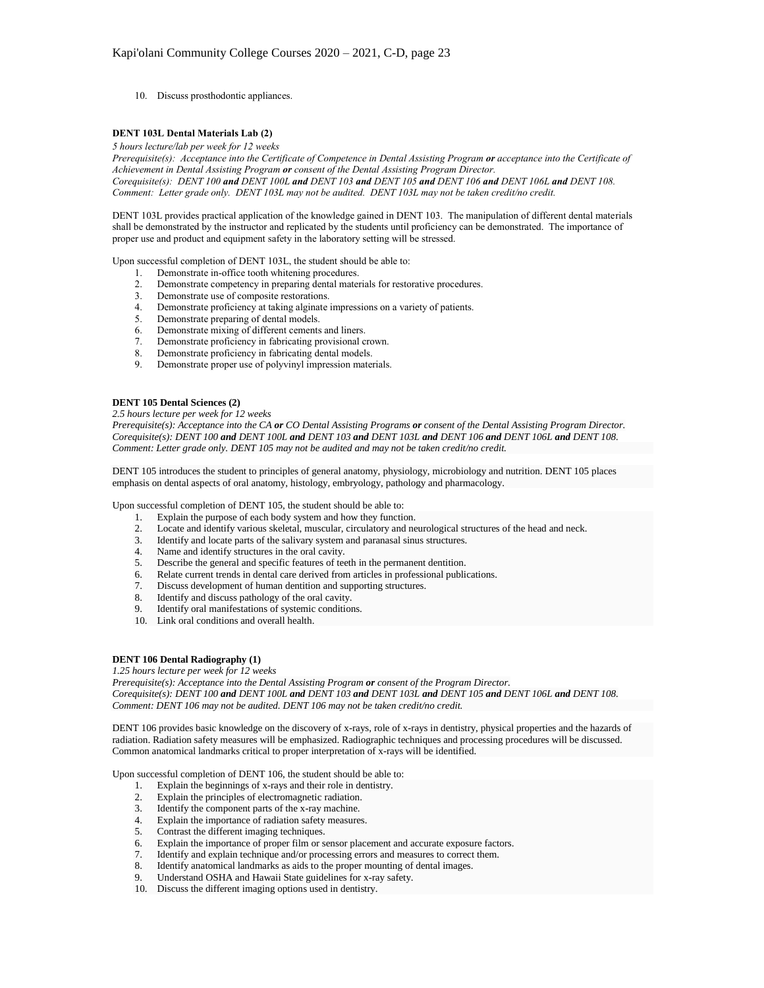10. Discuss prosthodontic appliances.

## **DENT 103L Dental Materials Lab (2)**

*5 hours lecture/lab per week for 12 weeks*

*Prerequisite(s): Acceptance into the Certificate of Competence in Dental Assisting Program or acceptance into the Certificate of Achievement in Dental Assisting Program or consent of the Dental Assisting Program Director. Corequisite(s): DENT 100 and DENT 100L and DENT 103 and DENT 105 and DENT 106 and DENT 106L and DENT 108. Comment: Letter grade only. DENT 103L may not be audited. DENT 103L may not be taken credit/no credit.*

DENT 103L provides practical application of the knowledge gained in DENT 103. The manipulation of different dental materials shall be demonstrated by the instructor and replicated by the students until proficiency can be demonstrated. The importance of proper use and product and equipment safety in the laboratory setting will be stressed.

Upon successful completion of DENT 103L, the student should be able to:

- 1. Demonstrate in-office tooth whitening procedures.<br>2. Demonstrate competency in preparing dental mate
- Demonstrate competency in preparing dental materials for restorative procedures.
- 3. Demonstrate use of composite restorations.<br>4. Demonstrate proficiency at taking alginate
- Demonstrate proficiency at taking alginate impressions on a variety of patients.
- 5. Demonstrate preparing of dental models.
- 6. Demonstrate mixing of different cements and liners.
- 7. Demonstrate proficiency in fabricating provisional crown.<br>8. Demonstrate proficiency in fabricating dental models.
- Demonstrate proficiency in fabricating dental models.
- 9. Demonstrate proper use of polyvinyl impression materials.

### **DENT 105 Dental Sciences (2)**

*2.5 hours lecture per week for 12 weeks*

*Prerequisite(s): Acceptance into the CA or CO Dental Assisting Programs or consent of the Dental Assisting Program Director. Corequisite(s): DENT 100 and DENT 100L and DENT 103 and DENT 103L and DENT 106 and DENT 106L and DENT 108. Comment: Letter grade only. DENT 105 may not be audited and may not be taken credit/no credit.*

DENT 105 introduces the student to principles of general anatomy, physiology, microbiology and nutrition. DENT 105 places emphasis on dental aspects of oral anatomy, histology, embryology, pathology and pharmacology.

Upon successful completion of DENT 105, the student should be able to:

- 1. Explain the purpose of each body system and how they function.
- 2. Locate and identify various skeletal, muscular, circulatory and neurological structures of the head and neck.
- 3. Identify and locate parts of the salivary system and paranasal sinus structures.
- 4. Name and identify structures in the oral cavity.
- 5. Describe the general and specific features of teeth in the permanent dentition.
- 6. Relate current trends in dental care derived from articles in professional publications.
- 7. Discuss development of human dentition and supporting structures.<br>8. Identify and discuss pathology of the oral cavity.
- Identify and discuss pathology of the oral cavity.
- 9. Identify oral manifestations of systemic conditions.
- 10. Link oral conditions and overall health.

# **DENT 106 Dental Radiography (1)**

#### *1.25 hours lecture per week for 12 weeks*

*Prerequisite(s): Acceptance into the Dental Assisting Program or consent of the Program Director. Corequisite(s): DENT 100 and DENT 100L and DENT 103 and DENT 103L and DENT 105 and DENT 106L and DENT 108. Comment: DENT 106 may not be audited. DENT 106 may not be taken credit/no credit.*

DENT 106 provides basic knowledge on the discovery of x-rays, role of x-rays in dentistry, physical properties and the hazards of radiation. Radiation safety measures will be emphasized. Radiographic techniques and processing procedures will be discussed. Common anatomical landmarks critical to proper interpretation of x-rays will be identified.

Upon successful completion of DENT 106, the student should be able to:

- 1. Explain the beginnings of x-rays and their role in dentistry.
- 2. Explain the principles of electromagnetic radiation.
- 3. Identify the component parts of the x-ray machine.
- 
- 4. Explain the importance of radiation safety measures.<br>5. Contrast the different imaging techniques. 5. Contrast the different imaging techniques.
- 6. Explain the importance of proper film or sensor placement and accurate exposure factors.
- Identify and explain technique and/or processing errors and measures to correct them.
- 8. Identify anatomical landmarks as aids to the proper mounting of dental images.
- 9. Understand OSHA and Hawaii State guidelines for x-ray safety.
- 10. Discuss the different imaging options used in dentistry.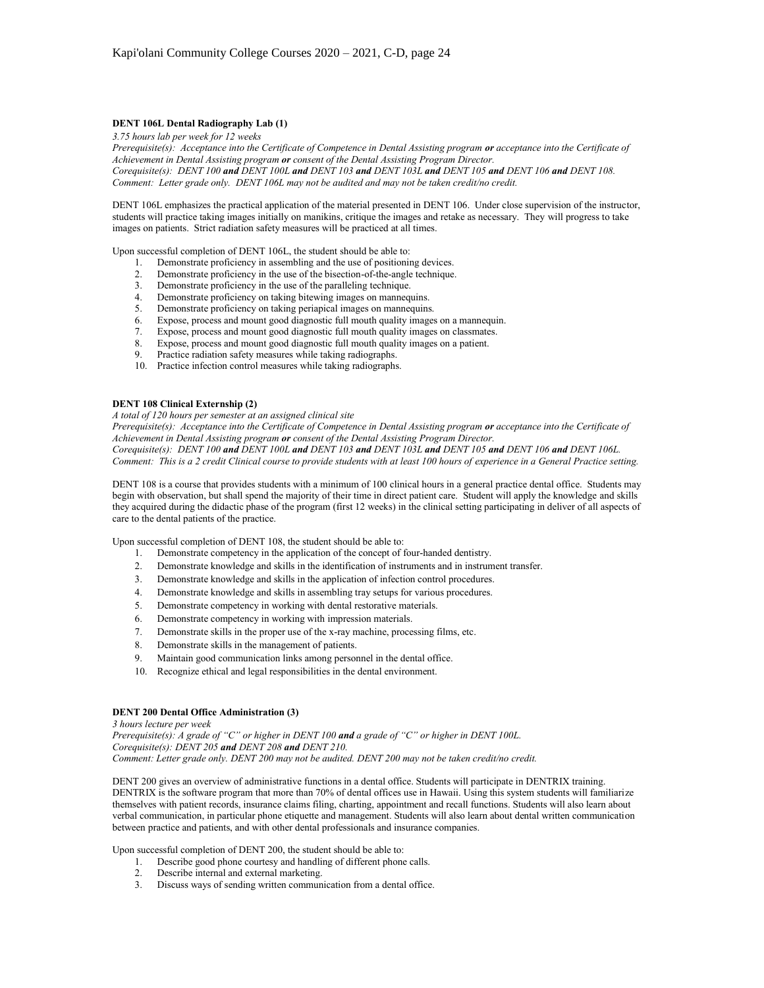## **DENT 106L Dental Radiography Lab (1)**

*3.75 hours lab per week for 12 weeks*

*Prerequisite(s): Acceptance into the Certificate of Competence in Dental Assisting program or acceptance into the Certificate of Achievement in Dental Assisting program or consent of the Dental Assisting Program Director. Corequisite(s): DENT 100 and DENT 100L and DENT 103 and DENT 103L and DENT 105 and DENT 106 and DENT 108. Comment: Letter grade only. DENT 106L may not be audited and may not be taken credit/no credit.*

DENT 106L emphasizes the practical application of the material presented in DENT 106. Under close supervision of the instructor, students will practice taking images initially on manikins, critique the images and retake as necessary. They will progress to take images on patients. Strict radiation safety measures will be practiced at all times.

Upon successful completion of DENT 106L, the student should be able to:

- 1. Demonstrate proficiency in assembling and the use of positioning devices.
- 2. Demonstrate proficiency in the use of the bisection-of-the-angle technique.
- 3. Demonstrate proficiency in the use of the paralleling technique.<br>4. Demonstrate proficiency on taking bitewing images on manneque
- Demonstrate proficiency on taking bitewing images on mannequins.
- 5. Demonstrate proficiency on taking periapical images on mannequins.
- 6. Expose, process and mount good diagnostic full mouth quality images on a mannequin.
- 7. Expose, process and mount good diagnostic full mouth quality images on classmates.<br>
8. Expose, process and mount good diagnostic full mouth quality images on a patient.
- Expose, process and mount good diagnostic full mouth quality images on a patient.
- 9. Practice radiation safety measures while taking radiographs.
- 10. Practice infection control measures while taking radiographs.

# **DENT 108 Clinical Externship (2)**

*A total of 120 hours per semester at an assigned clinical site*

*Prerequisite(s): Acceptance into the Certificate of Competence in Dental Assisting program or acceptance into the Certificate of Achievement in Dental Assisting program or consent of the Dental Assisting Program Director. Corequisite(s): DENT 100 and DENT 100L and DENT 103 and DENT 103L and DENT 105 and DENT 106 and DENT 106L. Comment: This is a 2 credit Clinical course to provide students with at least 100 hours of experience in a General Practice setting.*

DENT 108 is a course that provides students with a minimum of 100 clinical hours in a general practice dental office. Students may begin with observation, but shall spend the majority of their time in direct patient care. Student will apply the knowledge and skills they acquired during the didactic phase of the program (first 12 weeks) in the clinical setting participating in deliver of all aspects of care to the dental patients of the practice.

Upon successful completion of DENT 108, the student should be able to:

- 1. Demonstrate competency in the application of the concept of four-handed dentistry.
- 2. Demonstrate knowledge and skills in the identification of instruments and in instrument transfer.
- 3. Demonstrate knowledge and skills in the application of infection control procedures.<br>4. Demonstrate knowledge and skills in assembling tray setups for various procedures.
- Demonstrate knowledge and skills in assembling tray setups for various procedures.
- 5. Demonstrate competency in working with dental restorative materials.
- 6. Demonstrate competency in working with impression materials.
- 7. Demonstrate skills in the proper use of the x-ray machine, processing films, etc.<br>8. Demonstrate skills in the management of patients.
- Demonstrate skills in the management of patients.
- 9. Maintain good communication links among personnel in the dental office.
- 10. Recognize ethical and legal responsibilities in the dental environment.

# **DENT 200 Dental Office Administration (3)**

*3 hours lecture per week Prerequisite(s): A grade of "C" or higher in DENT 100 and a grade of "C" or higher in DENT 100L. Corequisite(s): DENT 205 and DENT 208 and DENT 210. Comment: Letter grade only. DENT 200 may not be audited. DENT 200 may not be taken credit/no credit.*

DENT 200 gives an overview of administrative functions in a dental office. Students will participate in DENTRIX training. DENTRIX is the software program that more than 70% of dental offices use in Hawaii. Using this system students will familiarize themselves with patient records, insurance claims filing, charting, appointment and recall functions. Students will also learn about verbal communication, in particular phone etiquette and management. Students will also learn about dental written communication between practice and patients, and with other dental professionals and insurance companies.

Upon successful completion of DENT 200, the student should be able to:

- 1. Describe good phone courtesy and handling of different phone calls.
- 2. Describe internal and external marketing.
- 3. Discuss ways of sending written communication from a dental office.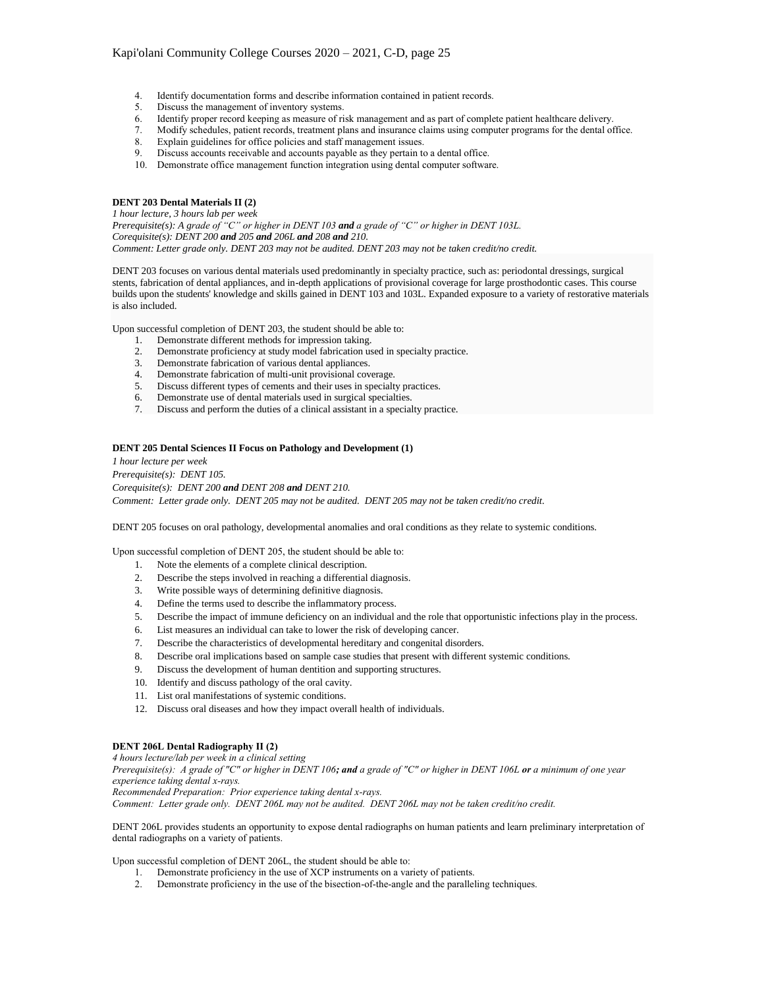- 4. Identify documentation forms and describe information contained in patient records.
- 5. Discuss the management of inventory systems.
- 6. Identify proper record keeping as measure of risk management and as part of complete patient healthcare delivery.
- 7. Modify schedules, patient records, treatment plans and insurance claims using computer programs for the dental office.
- 8. Explain guidelines for office policies and staff management issues.<br>9. Discuss accounts receivable and accounts payable as they pertain to
- Discuss accounts receivable and accounts payable as they pertain to a dental office.
- 10. Demonstrate office management function integration using dental computer software.

# **DENT 203 Dental Materials II (2)**

*1 hour lecture, 3 hours lab per week*

*Prerequisite(s): A grade of "C" or higher in DENT 103 and a grade of "C" or higher in DENT 103L. Corequisite(s): DENT 200 and 205 and 206L and 208 and 210. Comment: Letter grade only. DENT 203 may not be audited. DENT 203 may not be taken credit/no credit.*

DENT 203 focuses on various dental materials used predominantly in specialty practice, such as: periodontal dressings, surgical stents, fabrication of dental appliances, and in-depth applications of provisional coverage for large prosthodontic cases. This course builds upon the students' knowledge and skills gained in DENT 103 and 103L. Expanded exposure to a variety of restorative materials is also included.

Upon successful completion of DENT 203, the student should be able to:

- 1. Demonstrate different methods for impression taking.
- 2. Demonstrate proficiency at study model fabrication used in specialty practice.
- 3. Demonstrate fabrication of various dental appliances.
- 4. Demonstrate fabrication of multi-unit provisional coverage.
- 5. Discuss different types of cements and their uses in specialty practices.
- 6. Demonstrate use of dental materials used in surgical specialties.
- 7. Discuss and perform the duties of a clinical assistant in a specialty practice.

#### **DENT 205 Dental Sciences II Focus on Pathology and Development (1)**

*1 hour lecture per week Prerequisite(s): DENT 105. Corequisite(s): DENT 200 and DENT 208 and DENT 210. Comment: Letter grade only. DENT 205 may not be audited. DENT 205 may not be taken credit/no credit.*

DENT 205 focuses on oral pathology, developmental anomalies and oral conditions as they relate to systemic conditions.

Upon successful completion of DENT 205, the student should be able to:

- 1. Note the elements of a complete clinical description.
- 2. Describe the steps involved in reaching a differential diagnosis.
- 3. Write possible ways of determining definitive diagnosis.
- 4. Define the terms used to describe the inflammatory process.
- 5. Describe the impact of immune deficiency on an individual and the role that opportunistic infections play in the process.
- 6. List measures an individual can take to lower the risk of developing cancer.
- 7. Describe the characteristics of developmental hereditary and congenital disorders.
- 8. Describe oral implications based on sample case studies that present with different systemic conditions.
- 9. Discuss the development of human dentition and supporting structures.
- 10. Identify and discuss pathology of the oral cavity.
- 11. List oral manifestations of systemic conditions.
- 12. Discuss oral diseases and how they impact overall health of individuals.

# **DENT 206L Dental Radiography II (2)**

*4 hours lecture/lab per week in a clinical setting Prerequisite(s): A grade of "C" or higher in DENT 106; and a grade of "C" or higher in DENT 106L or a minimum of one year experience taking dental x-rays.*

*Recommended Preparation: Prior experience taking dental x-rays.*

*Comment: Letter grade only. DENT 206L may not be audited. DENT 206L may not be taken credit/no credit.*

DENT 206L provides students an opportunity to expose dental radiographs on human patients and learn preliminary interpretation of dental radiographs on a variety of patients.

Upon successful completion of DENT 206L, the student should be able to:

- 1. Demonstrate proficiency in the use of XCP instruments on a variety of patients.
- 2. Demonstrate proficiency in the use of the bisection-of-the-angle and the paralleling techniques.